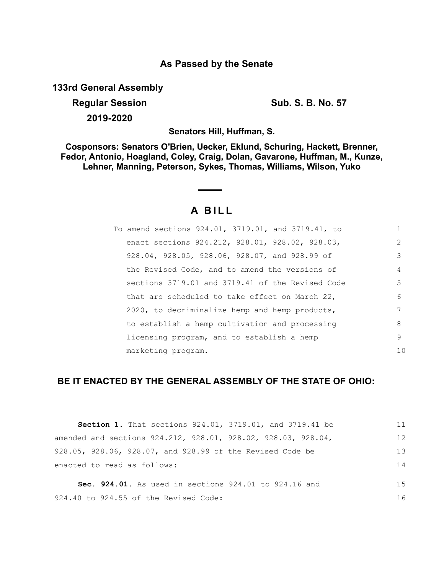# **As Passed by the Senate**

**133rd General Assembly**

**Regular Session Sub. S. B. No. 57 2019-2020**

**Senators Hill, Huffman, S.**

**Cosponsors: Senators O'Brien, Uecker, Eklund, Schuring, Hackett, Brenner, Fedor, Antonio, Hoagland, Coley, Craig, Dolan, Gavarone, Huffman, M., Kunze, Lehner, Manning, Peterson, Sykes, Thomas, Williams, Wilson, Yuko**

# **A B I L L**

| To amend sections 924.01, 3719.01, and 3719.41, to | 1   |
|----------------------------------------------------|-----|
| enact sections 924.212, 928.01, 928.02, 928.03,    | 2   |
| 928.04, 928.05, 928.06, 928.07, and 928.99 of      | 3   |
| the Revised Code, and to amend the versions of     | 4   |
| sections 3719.01 and 3719.41 of the Revised Code   | 5   |
| that are scheduled to take effect on March 22,     | 6   |
| 2020, to decriminalize hemp and hemp products,     | 7   |
| to establish a hemp cultivation and processing     | 8   |
| licensing program, and to establish a hemp         | 9   |
| marketing program.                                 | 1 N |

# **BE IT ENACTED BY THE GENERAL ASSEMBLY OF THE STATE OF OHIO:**

| <b>Section 1.</b> That sections 924.01, 3719.01, and 3719.41 be | 11 |
|-----------------------------------------------------------------|----|
| amended and sections 924.212, 928.01, 928.02, 928.03, 928.04,   | 12 |
| 928.05, 928.06, 928.07, and 928.99 of the Revised Code be       | 13 |
| enacted to read as follows:                                     | 14 |
| <b>Sec. 924.01.</b> As used in sections 924.01 to 924.16 and    | 15 |
|                                                                 |    |
| 924.40 to 924.55 of the Revised Code:                           | 16 |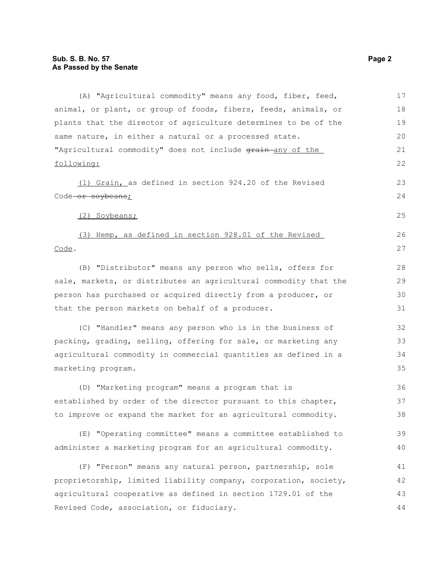(A) "Agricultural commodity" means any food, fiber, feed, animal, or plant, or group of foods, fibers, feeds, animals, or plants that the director of agriculture determines to be of the same nature, in either a natural or a processed state. "Agricultural commodity" does not include grain-any of the following: (1) Grain, as defined in section 924.20 of the Revised Code or soybeans; (2) Soybeans; (3) Hemp, as defined in section 928.01 of the Revised Code. (B) "Distributor" means any person who sells, offers for sale, markets, or distributes an agricultural commodity that the person has purchased or acquired directly from a producer, or that the person markets on behalf of a producer. (C) "Handler" means any person who is in the business of packing, grading, selling, offering for sale, or marketing any agricultural commodity in commercial quantities as defined in a marketing program. (D) "Marketing program" means a program that is established by order of the director pursuant to this chapter, to improve or expand the market for an agricultural commodity. (E) "Operating committee" means a committee established to administer a marketing program for an agricultural commodity. (F) "Person" means any natural person, partnership, sole proprietorship, limited liability company, corporation, society, agricultural cooperative as defined in section 1729.01 of the Revised Code, association, or fiduciary. 17 18 19 20 21 22 23  $24$ 25 26 27 28 29 30 31 32 33 34 35 36 37 38 39 40 41 42 43 44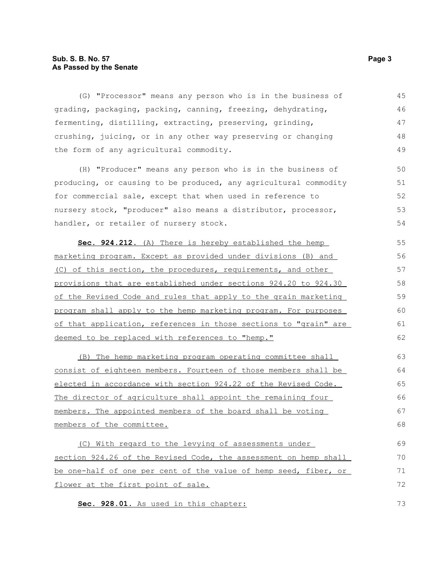## **Sub. S. B. No. 57 Page 3 As Passed by the Senate**

| (G) "Processor" means any person who is in the business of       | 45 |
|------------------------------------------------------------------|----|
| grading, packaging, packing, canning, freezing, dehydrating,     | 46 |
| fermenting, distilling, extracting, preserving, grinding,        | 47 |
| crushing, juicing, or in any other way preserving or changing    | 48 |
| the form of any agricultural commodity.                          | 49 |
| (H) "Producer" means any person who is in the business of        | 50 |
| producing, or causing to be produced, any agricultural commodity | 51 |
| for commercial sale, except that when used in reference to       | 52 |
| nursery stock, "producer" also means a distributor, processor,   | 53 |
| handler, or retailer of nursery stock.                           | 54 |
| Sec. 924.212. (A) There is hereby established the hemp           | 55 |
| marketing program. Except as provided under divisions (B) and    | 56 |
| (C) of this section, the procedures, requirements, and other     | 57 |
| provisions that are established under sections 924.20 to 924.30  | 58 |
| of the Revised Code and rules that apply to the grain marketing  | 59 |
| program shall apply to the hemp marketing program. For purposes  | 60 |
| of that application, references in those sections to "grain" are | 61 |
| deemed to be replaced with references to "hemp."                 | 62 |
| (B) The hemp marketing program operating committee shall         | 63 |
| consist of eighteen members. Fourteen of those members shall be  | 64 |
| elected in accordance with section 924.22 of the Revised Code.   | 65 |
| The director of agriculture shall appoint the remaining four     | 66 |
| members. The appointed members of the board shall be voting      | 67 |
| members of the committee.                                        | 68 |
| (C) With regard to the levying of assessments under              | 69 |
| section 924.26 of the Revised Code, the assessment on hemp shall | 70 |
| be one-half of one per cent of the value of hemp seed, fiber, or | 71 |
| flower at the first point of sale.                               | 72 |
| Sec. 928.01. As used in this chapter:                            | 73 |

**Sec. 928.01.** As used in this chapter: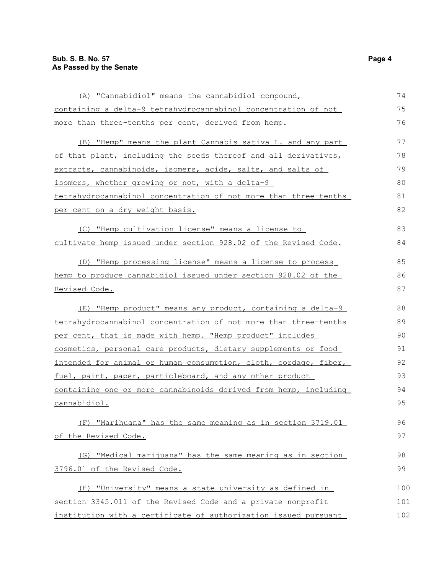| (A) "Cannabidiol" means the cannabidiol compound,                | 74  |
|------------------------------------------------------------------|-----|
| containing a delta-9 tetrahydrocannabinol concentration of not   | 75  |
| more than three-tenths per cent, derived from hemp.              | 76  |
| (B) "Hemp" means the plant Cannabis sativa L. and any part       | 77  |
| of that plant, including the seeds thereof and all derivatives,  | 78  |
| extracts, cannabinoids, isomers, acids, salts, and salts of      | 79  |
| isomers, whether growing or not, with a delta-9                  | 80  |
| tetrahydrocannabinol concentration of not more than three-tenths | 81  |
| per cent on a dry weight basis.                                  | 82  |
| (C) "Hemp cultivation license" means a license to                | 83  |
| cultivate hemp issued under section 928.02 of the Revised Code.  | 84  |
| (D) "Hemp processing license" means a license to process         | 85  |
| hemp to produce cannabidiol issued under section 928.02 of the   | 86  |
| Revised Code.                                                    | 87  |
| "Hemp product" means any product, containing a delta-9<br>(E)    | 88  |
| tetrahydrocannabinol concentration of not more than three-tenths | 89  |
| per cent, that is made with hemp. "Hemp product" includes        | 90  |
| cosmetics, personal care products, dietary supplements or food   | 91  |
| intended for animal or human consumption, cloth, cordage, fiber, | 92  |
| fuel, paint, paper, particleboard, and any other product         | 93  |
| containing one or more cannabinoids derived from hemp, including | 94  |
| cannabidiol.                                                     | 95  |
| (F) "Marihuana" has the same meaning as in section 3719.01       | 96  |
| of the Revised Code.                                             | 97  |
| (G) "Medical marijuana" has the same meaning as in section       | 98  |
| 3796.01 of the Revised Code.                                     | 99  |
| (H) "University" means a state university as defined in          | 100 |
| section 3345.011 of the Revised Code and a private nonprofit     | 101 |
| institution with a certificate of authorization issued pursuant  | 102 |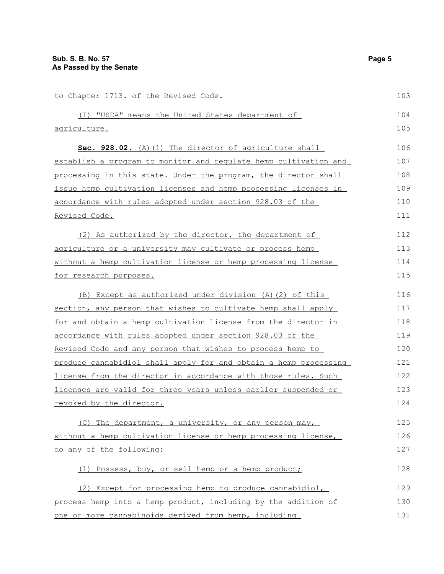| to Chapter 1713. of the Revised Code.                            | 103 |
|------------------------------------------------------------------|-----|
| (I) "USDA" means the United States department of                 | 104 |
| agriculture.                                                     | 105 |
| Sec. 928.02. (A) (1) The director of agriculture shall           | 106 |
| establish a program to monitor and regulate hemp cultivation and | 107 |
| processing in this state. Under the program, the director shall  | 108 |
| issue hemp cultivation licenses and hemp processing licenses in  | 109 |
| accordance with rules adopted under section 928.03 of the        | 110 |
| <u>Revised Code.</u>                                             | 111 |
| (2) As authorized by the director, the department of             | 112 |
| agriculture or a university may cultivate or process hemp        | 113 |
| without a hemp cultivation license or hemp processing license    | 114 |
| for research purposes.                                           | 115 |
| (B) Except as authorized under division (A) (2) of this          | 116 |
| section, any person that wishes to cultivate hemp shall apply    | 117 |
| for and obtain a hemp cultivation license from the director in   | 118 |
| <u>accordance with rules adopted under section 928.03 of the</u> | 119 |
| Revised Code and any person that wishes to process hemp to       | 120 |
| produce cannabidiol shall apply for and obtain a hemp processing | 121 |
| license from the director in accordance with those rules. Such   | 122 |
| licenses are valid for three years unless earlier suspended or   | 123 |
| revoked by the director.                                         | 124 |
| (C) The department, a university, or any person may,             | 125 |
| without a hemp cultivation license or hemp processing license,   | 126 |
| do any of the following:                                         | 127 |
| (1) Possess, buy, or sell hemp or a hemp product;                | 128 |
| (2) Except for processing hemp to produce cannabidiol,           | 129 |
| process hemp into a hemp product, including by the addition of   | 130 |
| one or more cannabinoids derived from hemp, including            | 131 |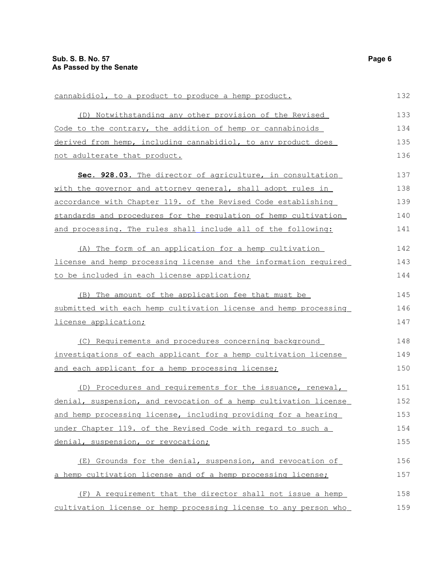| cannabidiol, to a product to produce a hemp product.             | 132 |
|------------------------------------------------------------------|-----|
| (D) Notwithstanding any other provision of the Revised           | 133 |
| Code to the contrary, the addition of hemp or cannabinoids       | 134 |
| derived from hemp, including cannabidiol, to any product does    | 135 |
| not adulterate that product.                                     | 136 |
| Sec. 928.03. The director of agriculture, in consultation        | 137 |
| with the governor and attorney general, shall adopt rules in     | 138 |
| accordance with Chapter 119. of the Revised Code establishing    | 139 |
| standards and procedures for the requlation of hemp cultivation  | 140 |
| and processing. The rules shall include all of the following:    | 141 |
| (A) The form of an application for a hemp cultivation            | 142 |
| license and hemp processing license and the information required | 143 |
| to be included in each license application;                      | 144 |
| (B) The amount of the application fee that must be               | 145 |
| submitted with each hemp cultivation license and hemp processing | 146 |
| license application;                                             | 147 |
| (C) Requirements and procedures concerning background            | 148 |
| investigations of each applicant for a hemp cultivation license  | 149 |
| and each applicant for a hemp processing license;                | 150 |
| (D) Procedures and requirements for the issuance, renewal,       | 151 |
| denial, suspension, and revocation of a hemp cultivation license | 152 |
| and hemp processing license, including providing for a hearing   | 153 |
| under Chapter 119. of the Revised Code with regard to such a     | 154 |
| denial, suspension, or revocation;                               | 155 |
| (E) Grounds for the denial, suspension, and revocation of        | 156 |
| a hemp cultivation license and of a hemp processing license;     | 157 |
| (F) A requirement that the director shall not issue a hemp       | 158 |
| cultivation license or hemp processing license to any person who | 159 |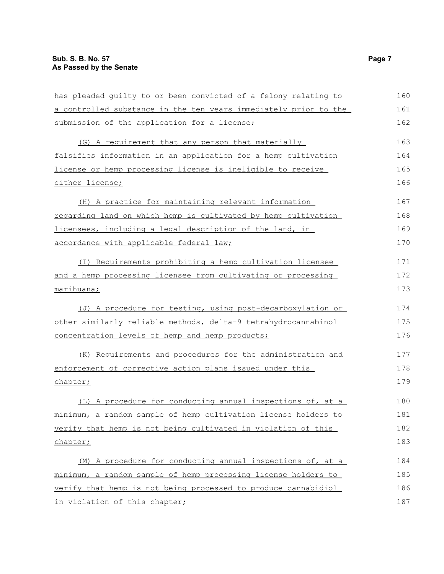| has pleaded quilty to or been convicted of a felony relating to  | 160 |
|------------------------------------------------------------------|-----|
| a controlled substance in the ten years immediately prior to the | 161 |
| submission of the application for a license;                     | 162 |
| (G) A requirement that any person that materially                | 163 |
| falsifies information in an application for a hemp cultivation   | 164 |
| license or hemp processing license is ineligible to receive      | 165 |
| either license;                                                  | 166 |
| (H) A practice for maintaining relevant information              | 167 |
| regarding land on which hemp is cultivated by hemp cultivation   | 168 |
| licensees, including a legal description of the land, in         | 169 |
| accordance with applicable federal law;                          | 170 |
| (I) Requirements prohibiting a hemp cultivation licensee         | 171 |
| and a hemp processing licensee from cultivating or processing    | 172 |
| marihuana;                                                       | 173 |
| (J) A procedure for testing, using post-decarboxylation or       | 174 |
| other similarly reliable methods, delta-9 tetrahydrocannabinol   | 175 |
| concentration levels of hemp and hemp products;                  | 176 |
| (K) Requirements and procedures for the administration and       | 177 |
| enforcement of corrective action plans issued under this         | 178 |
| chapter;                                                         | 179 |
| (L) A procedure for conducting annual inspections of, at a       | 180 |
| minimum, a random sample of hemp cultivation license holders to  | 181 |
| verify that hemp is not being cultivated in violation of this    | 182 |
| chapter;                                                         | 183 |
| (M) A procedure for conducting annual inspections of, at a       | 184 |
| minimum, a random sample of hemp processing license holders to   | 185 |
| verify that hemp is not being processed to produce cannabidiol   | 186 |
| in violation of this chapter;                                    | 187 |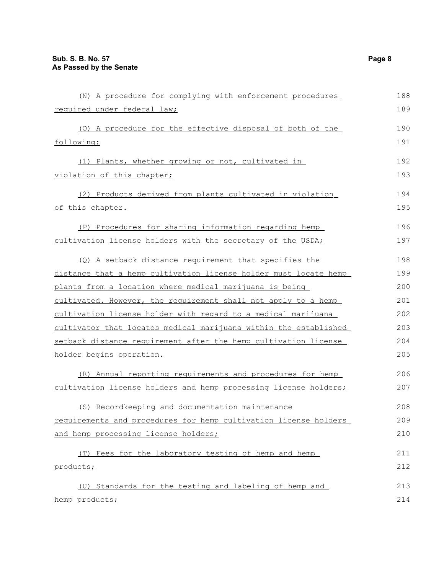| (N) A procedure for complying with enforcement procedures        | 188 |
|------------------------------------------------------------------|-----|
| required under federal law;                                      | 189 |
| (0) A procedure for the effective disposal of both of the        | 190 |
| following:                                                       | 191 |
| (1) Plants, whether growing or not, cultivated in                | 192 |
| violation of this chapter;                                       | 193 |
| (2) Products derived from plants cultivated in violation         | 194 |
| of this chapter.                                                 | 195 |
| (P) Procedures for sharing information regarding hemp            | 196 |
| cultivation license holders with the secretary of the USDA;      | 197 |
| (Q) A setback distance requirement that specifies the            | 198 |
| distance that a hemp cultivation license holder must locate hemp | 199 |
| plants from a location where medical marijuana is being          | 200 |
| cultivated. However, the requirement shall not apply to a hemp   | 201 |
| cultivation license holder with regard to a medical marijuana    | 202 |
| cultivator that locates medical marijuana within the established | 203 |
| setback distance requirement after the hemp cultivation license  | 204 |
| holder begins operation.                                         | 205 |
| (R) Annual reporting requirements and procedures for hemp        | 206 |
| cultivation license holders and hemp processing license holders; | 207 |
| (S) Recordkeeping and documentation maintenance                  | 208 |
| requirements and procedures for hemp cultivation license holders | 209 |
| and hemp processing license holders;                             | 210 |
| (T) Fees for the laboratory testing of hemp and hemp             | 211 |
| products;                                                        | 212 |
| (U) Standards for the testing and labeling of hemp and           | 213 |
| hemp products;                                                   | 214 |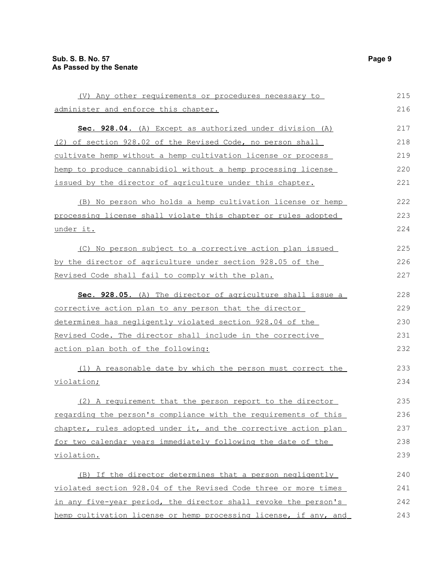| (V) Any other requirements or procedures necessary to            | 215 |
|------------------------------------------------------------------|-----|
| <u>administer and enforce this chapter.</u>                      | 216 |
| Sec. 928.04. (A) Except as authorized under division (A)         | 217 |
| (2) of section 928.02 of the Revised Code, no person shall       | 218 |
| cultivate hemp without a hemp cultivation license or process     | 219 |
| hemp to produce cannabidiol without a hemp processing license    | 220 |
| issued by the director of agriculture under this chapter.        | 221 |
| (B) No person who holds a hemp cultivation license or hemp       | 222 |
| processing license shall violate this chapter or rules adopted   | 223 |
| under it.                                                        | 224 |
| (C) No person subject to a corrective action plan issued         | 225 |
| by the director of agriculture under section 928.05 of the       | 226 |
| Revised Code shall fail to comply with the plan.                 | 227 |
| Sec. 928.05. (A) The director of agriculture shall issue a       | 228 |
| corrective action plan to any person that the director           | 229 |
| determines has negligently violated section 928.04 of the        | 230 |
| Revised Code. The director shall include in the corrective       | 231 |
| action plan both of the following:                               | 232 |
| (1) A reasonable date by which the person must correct the       | 233 |
| <u>violation;</u>                                                | 234 |
| (2) A requirement that the person report to the director         | 235 |
| regarding the person's compliance with the requirements of this  | 236 |
| chapter, rules adopted under it, and the corrective action plan  | 237 |
| for two calendar years immediately following the date of the     | 238 |
| <u>violation.</u>                                                | 239 |
| (B) If the director determines that a person negligently         | 240 |
| violated section 928.04 of the Revised Code three or more times  | 241 |
| in any five-year period, the director shall revoke the person's  | 242 |
| hemp cultivation license or hemp processing license, if any, and | 243 |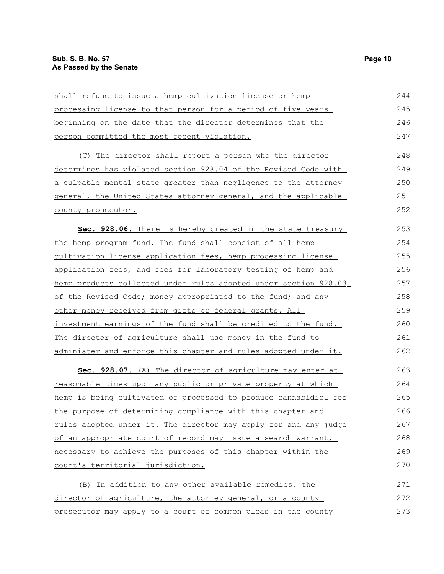| shall refuse to issue a hemp cultivation license or hemp         | 244 |
|------------------------------------------------------------------|-----|
| processing license to that person for a period of five years     | 245 |
| beginning on the date that the director determines that the      | 246 |
| person committed the most recent violation.                      | 247 |
| (C) The director shall report a person who the director          | 248 |
| determines has violated section 928.04 of the Revised Code with  | 249 |
| a culpable mental state greater than negligence to the attorney  | 250 |
| general, the United States attorney general, and the applicable  | 251 |
| county prosecutor.                                               | 252 |
| Sec. 928.06. There is hereby created in the state treasury       | 253 |
| the hemp program fund. The fund shall consist of all hemp        | 254 |
| cultivation license application fees, hemp processing license    | 255 |
| application fees, and fees for laboratory testing of hemp and    | 256 |
| hemp products collected under rules adopted under section 928.03 | 257 |
| of the Revised Code; money appropriated to the fund; and any     | 258 |
| other money received from gifts or federal grants. All           | 259 |
| investment earnings of the fund shall be credited to the fund.   | 260 |
| The director of agriculture shall use money in the fund to       | 261 |
| administer and enforce this chapter and rules adopted under it.  | 262 |
| Sec. 928.07. (A) The director of agriculture may enter at        | 263 |
| reasonable times upon any public or private property at which    | 264 |
| hemp is being cultivated or processed to produce cannabidiol for | 265 |
| the purpose of determining compliance with this chapter and      | 266 |
| rules adopted under it. The director may apply for and any judge | 267 |
| of an appropriate court of record may issue a search warrant,    | 268 |
| necessary to achieve the purposes of this chapter within the     | 269 |
| court's territorial jurisdiction.                                | 270 |
| (B) In addition to any other available remedies, the             | 271 |
| director of agriculture, the attorney general, or a county       | 272 |
| prosecutor may apply to a court of common pleas in the county    | 273 |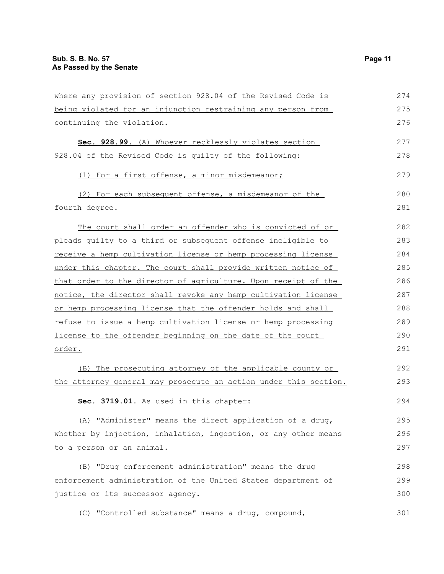| where any provision of section 928.04 of the Revised Code is     | 274 |
|------------------------------------------------------------------|-----|
| being violated for an injunction restraining any person from     | 275 |
| continuing the violation.                                        | 276 |
| Sec. 928.99. (A) Whoever recklessly violates section             | 277 |
| 928.04 of the Revised Code is quilty of the following:           | 278 |
| (1) For a first offense, a minor misdemeanor;                    | 279 |
| (2) For each subsequent offense, a misdemeanor of the            | 280 |
| fourth degree.                                                   | 281 |
| The court shall order an offender who is convicted of or         | 282 |
| pleads quilty to a third or subsequent offense ineligible to     | 283 |
| receive a hemp cultivation license or hemp processing license    | 284 |
| under this chapter. The court shall provide written notice of    | 285 |
| that order to the director of agriculture. Upon receipt of the   | 286 |
| notice, the director shall revoke any hemp cultivation license   | 287 |
| or hemp processing license that the offender holds and shall     | 288 |
| refuse to issue a hemp cultivation license or hemp processing    | 289 |
| license to the offender beginning on the date of the court       | 290 |
| <u>order.</u>                                                    | 291 |
| (B) The prosecuting attorney of the applicable county or         | 292 |
| the attorney general may prosecute an action under this section. | 293 |
| Sec. 3719.01. As used in this chapter:                           | 294 |
| (A) "Administer" means the direct application of a drug,         | 295 |
| whether by injection, inhalation, ingestion, or any other means  | 296 |
| to a person or an animal.                                        | 297 |
| (B) "Drug enforcement administration" means the drug             | 298 |
| enforcement administration of the United States department of    | 299 |
| justice or its successor agency.                                 | 300 |
| (C) "Controlled substance" means a drug, compound,               | 301 |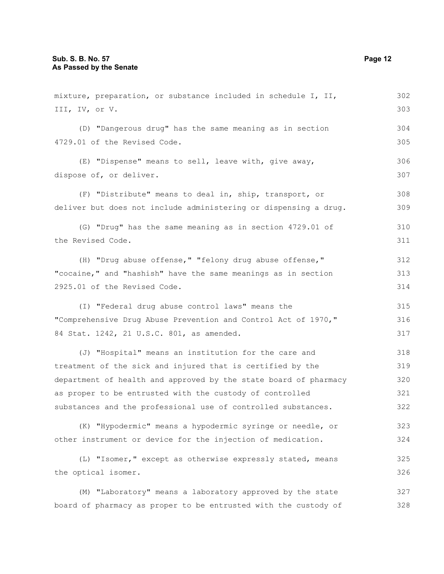| mixture, preparation, or substance included in schedule I, II,   | 302 |
|------------------------------------------------------------------|-----|
| III, IV, or V.                                                   | 303 |
| (D) "Dangerous drug" has the same meaning as in section          | 304 |
| 4729.01 of the Revised Code.                                     | 305 |
| (E) "Dispense" means to sell, leave with, give away,             | 306 |
| dispose of, or deliver.                                          | 307 |
| (F) "Distribute" means to deal in, ship, transport, or           | 308 |
| deliver but does not include administering or dispensing a drug. | 309 |
| (G) "Drug" has the same meaning as in section 4729.01 of         | 310 |
| the Revised Code.                                                | 311 |
| (H) "Drug abuse offense," "felony drug abuse offense,"           | 312 |
| "cocaine," and "hashish" have the same meanings as in section    | 313 |
| 2925.01 of the Revised Code.                                     | 314 |
| (I) "Federal drug abuse control laws" means the                  | 315 |
| "Comprehensive Drug Abuse Prevention and Control Act of 1970,"   | 316 |
| 84 Stat. 1242, 21 U.S.C. 801, as amended.                        | 317 |
| (J) "Hospital" means an institution for the care and             | 318 |
| treatment of the sick and injured that is certified by the       | 319 |
| department of health and approved by the state board of pharmacy | 320 |
| as proper to be entrusted with the custody of controlled         | 321 |
| substances and the professional use of controlled substances.    | 322 |
| (K) "Hypodermic" means a hypodermic syringe or needle, or        | 323 |
| other instrument or device for the injection of medication.      | 324 |
| (L) "Isomer," except as otherwise expressly stated, means        | 325 |
| the optical isomer.                                              | 326 |
| (M) "Laboratory" means a laboratory approved by the state        | 327 |

board of pharmacy as proper to be entrusted with the custody of 328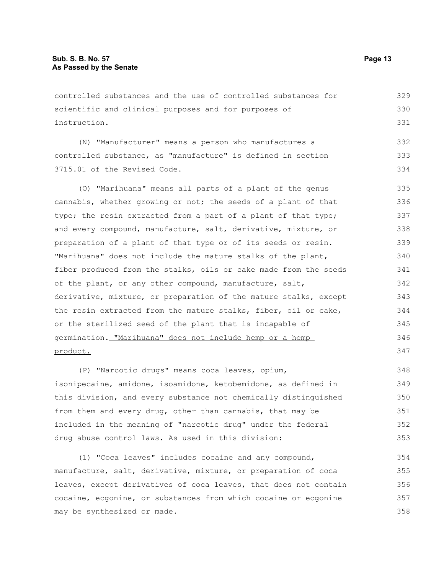controlled substances and the use of controlled substances for scientific and clinical purposes and for purposes of instruction. (N) "Manufacturer" means a person who manufactures a controlled substance, as "manufacture" is defined in section 3715.01 of the Revised Code. (O) "Marihuana" means all parts of a plant of the genus cannabis, whether growing or not; the seeds of a plant of that type; the resin extracted from a part of a plant of that type; and every compound, manufacture, salt, derivative, mixture, or preparation of a plant of that type or of its seeds or resin. "Marihuana" does not include the mature stalks of the plant, fiber produced from the stalks, oils or cake made from the seeds of the plant, or any other compound, manufacture, salt, derivative, mixture, or preparation of the mature stalks, except the resin extracted from the mature stalks, fiber, oil or cake, or the sterilized seed of the plant that is incapable of germination. "Marihuana" does not include hemp or a hemp product. (P) "Narcotic drugs" means coca leaves, opium, 329 330 331 332 333 334 335 336 337 338 339 340 341 342 343 344 345 346 347 348 349

isonipecaine, amidone, isoamidone, ketobemidone, as defined in this division, and every substance not chemically distinguished from them and every drug, other than cannabis, that may be included in the meaning of "narcotic drug" under the federal drug abuse control laws. As used in this division: 350 351 352 353

(1) "Coca leaves" includes cocaine and any compound, manufacture, salt, derivative, mixture, or preparation of coca leaves, except derivatives of coca leaves, that does not contain cocaine, ecgonine, or substances from which cocaine or ecgonine may be synthesized or made. 354 355 356 357 358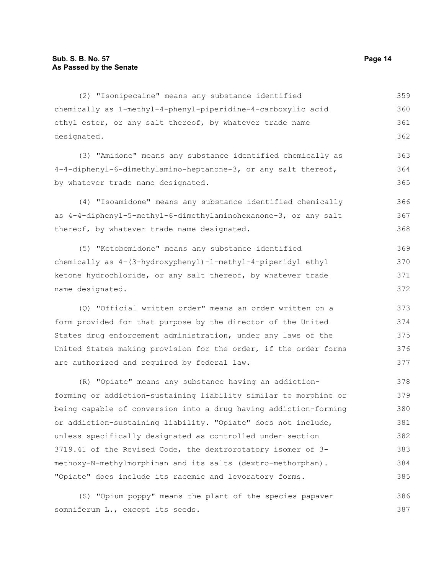(2) "Isonipecaine" means any substance identified chemically as 1-methyl-4-phenyl-piperidine-4-carboxylic acid ethyl ester, or any salt thereof, by whatever trade name designated. 359 360 361 362

(3) "Amidone" means any substance identified chemically as 4-4-diphenyl-6-dimethylamino-heptanone-3, or any salt thereof, by whatever trade name designated. 363 364 365

(4) "Isoamidone" means any substance identified chemically as 4-4-diphenyl-5-methyl-6-dimethylaminohexanone-3, or any salt thereof, by whatever trade name designated. 366 367 368

(5) "Ketobemidone" means any substance identified chemically as 4-(3-hydroxyphenyl)-1-methyl-4-piperidyl ethyl ketone hydrochloride, or any salt thereof, by whatever trade name designated. 369 370 371 372

(Q) "Official written order" means an order written on a form provided for that purpose by the director of the United States drug enforcement administration, under any laws of the United States making provision for the order, if the order forms are authorized and required by federal law.

(R) "Opiate" means any substance having an addictionforming or addiction-sustaining liability similar to morphine or being capable of conversion into a drug having addiction-forming or addiction-sustaining liability. "Opiate" does not include, unless specifically designated as controlled under section 3719.41 of the Revised Code, the dextrorotatory isomer of 3 methoxy-N-methylmorphinan and its salts (dextro-methorphan). "Opiate" does include its racemic and levoratory forms. 378 379 380 381 382 383 384 385

(S) "Opium poppy" means the plant of the species papaver somniferum L., except its seeds. 386 387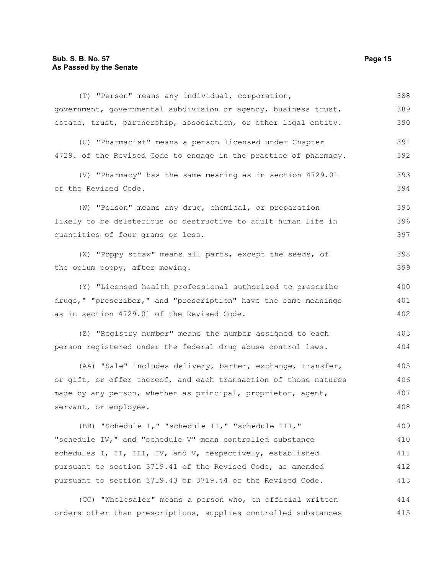(T) "Person" means any individual, corporation, government, governmental subdivision or agency, business trust, estate, trust, partnership, association, or other legal entity. (U) "Pharmacist" means a person licensed under Chapter 4729. of the Revised Code to engage in the practice of pharmacy. (V) "Pharmacy" has the same meaning as in section 4729.01 of the Revised Code. (W) "Poison" means any drug, chemical, or preparation likely to be deleterious or destructive to adult human life in quantities of four grams or less. (X) "Poppy straw" means all parts, except the seeds, of the opium poppy, after mowing. (Y) "Licensed health professional authorized to prescribe drugs," "prescriber," and "prescription" have the same meanings as in section 4729.01 of the Revised Code. (Z) "Registry number" means the number assigned to each person registered under the federal drug abuse control laws. (AA) "Sale" includes delivery, barter, exchange, transfer, or gift, or offer thereof, and each transaction of those natures made by any person, whether as principal, proprietor, agent, servant, or employee. (BB) "Schedule I," "schedule II," "schedule III," "schedule IV," and "schedule V" mean controlled substance schedules I, II, III, IV, and V, respectively, established 388 389 390 391 392 393 394 395 396 397 398 399 400 401 402 403 404 405 406 407 408 409 410 411

(CC) "Wholesaler" means a person who, on official written orders other than prescriptions, supplies controlled substances 414 415

pursuant to section 3719.41 of the Revised Code, as amended pursuant to section 3719.43 or 3719.44 of the Revised Code.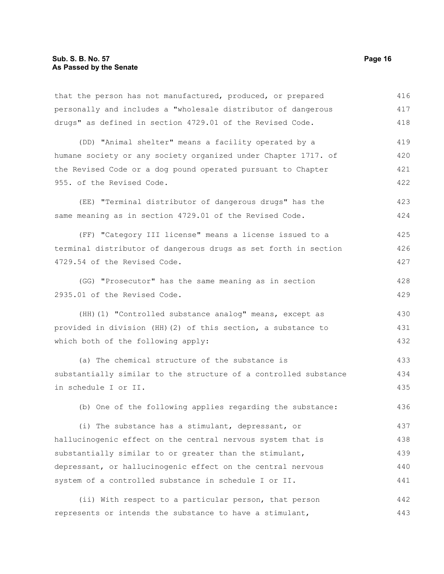that the person has not manufactured, produced, or prepared personally and includes a "wholesale distributor of dangerous drugs" as defined in section 4729.01 of the Revised Code. (DD) "Animal shelter" means a facility operated by a humane society or any society organized under Chapter 1717. of the Revised Code or a dog pound operated pursuant to Chapter 955. of the Revised Code. (EE) "Terminal distributor of dangerous drugs" has the same meaning as in section 4729.01 of the Revised Code. (FF) "Category III license" means a license issued to a terminal distributor of dangerous drugs as set forth in section 4729.54 of the Revised Code. (GG) "Prosecutor" has the same meaning as in section 2935.01 of the Revised Code. (HH)(1) "Controlled substance analog" means, except as provided in division (HH)(2) of this section, a substance to which both of the following apply: (a) The chemical structure of the substance is substantially similar to the structure of a controlled substance in schedule I or II. (b) One of the following applies regarding the substance: (i) The substance has a stimulant, depressant, or hallucinogenic effect on the central nervous system that is substantially similar to or greater than the stimulant, depressant, or hallucinogenic effect on the central nervous system of a controlled substance in schedule I or II. 416 417 418 419 420 421 422 423 424 425 426 427 428 429 430 431 432 433 434 435 436 437 438 439 440 441

(ii) With respect to a particular person, that person represents or intends the substance to have a stimulant, 442 443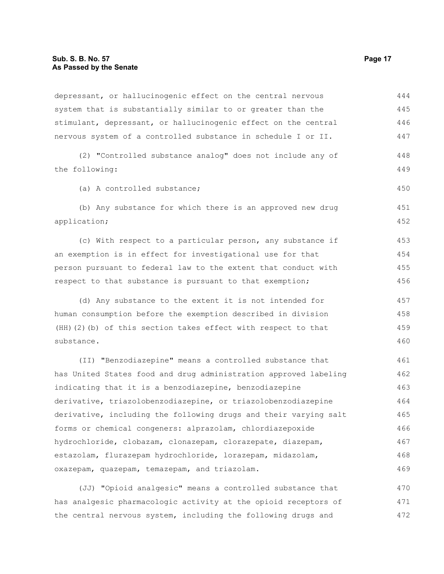depressant, or hallucinogenic effect on the central nervous system that is substantially similar to or greater than the stimulant, depressant, or hallucinogenic effect on the central nervous system of a controlled substance in schedule I or II. (2) "Controlled substance analog" does not include any of the following: (a) A controlled substance; (b) Any substance for which there is an approved new drug application; (c) With respect to a particular person, any substance if an exemption is in effect for investigational use for that person pursuant to federal law to the extent that conduct with respect to that substance is pursuant to that exemption; (d) Any substance to the extent it is not intended for human consumption before the exemption described in division (HH)(2)(b) of this section takes effect with respect to that substance. (II) "Benzodiazepine" means a controlled substance that has United States food and drug administration approved labeling indicating that it is a benzodiazepine, benzodiazepine derivative, triazolobenzodiazepine, or triazolobenzodiazepine derivative, including the following drugs and their varying salt forms or chemical congeners: alprazolam, chlordiazepoxide hydrochloride, clobazam, clonazepam, clorazepate, diazepam, estazolam, flurazepam hydrochloride, lorazepam, midazolam, oxazepam, quazepam, temazepam, and triazolam. 444 445 446 447 448 449 450 451 452 453 454 455 456 457 458 459 460 461 462 463 464 465 466 467 468 469

(JJ) "Opioid analgesic" means a controlled substance that has analgesic pharmacologic activity at the opioid receptors of the central nervous system, including the following drugs and 470 471 472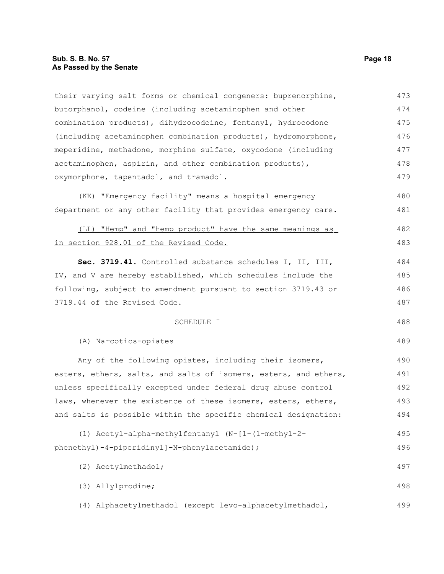| their varying salt forms or chemical congeners: buprenorphine,   | 473 |
|------------------------------------------------------------------|-----|
| butorphanol, codeine (including acetaminophen and other          | 474 |
| combination products), dihydrocodeine, fentanyl, hydrocodone     | 475 |
| (including acetaminophen combination products), hydromorphone,   | 476 |
| meperidine, methadone, morphine sulfate, oxycodone (including    | 477 |
| acetaminophen, aspirin, and other combination products),         | 478 |
| oxymorphone, tapentadol, and tramadol.                           | 479 |
| (KK) "Emergency facility" means a hospital emergency             | 480 |
| department or any other facility that provides emergency care.   | 481 |
| (LL) "Hemp" and "hemp product" have the same meanings as         | 482 |
| in section 928.01 of the Revised Code.                           | 483 |
| Sec. 3719.41. Controlled substance schedules I, II, III,         | 484 |
| IV, and V are hereby established, which schedules include the    | 485 |
| following, subject to amendment pursuant to section 3719.43 or   | 486 |
| 3719.44 of the Revised Code.                                     | 487 |
| SCHEDULE I                                                       | 488 |
| (A) Narcotics-opiates                                            | 489 |
| Any of the following opiates, including their isomers,           | 490 |
| esters, ethers, salts, and salts of isomers, esters, and ethers, | 491 |
| unless specifically excepted under federal drug abuse control    | 492 |
| laws, whenever the existence of these isomers, esters, ethers,   | 493 |
| and salts is possible within the specific chemical designation:  | 494 |
| (1) Acetyl-alpha-methylfentanyl (N-[1-(1-methyl-2-               | 495 |
| phenethyl)-4-piperidinyl]-N-phenylacetamide);                    | 496 |
| (2) Acetylmethadol;                                              | 497 |
| (3) Allylprodine;                                                | 498 |
| (4) Alphacetylmethadol (except levo-alphacetylmethadol,          | 499 |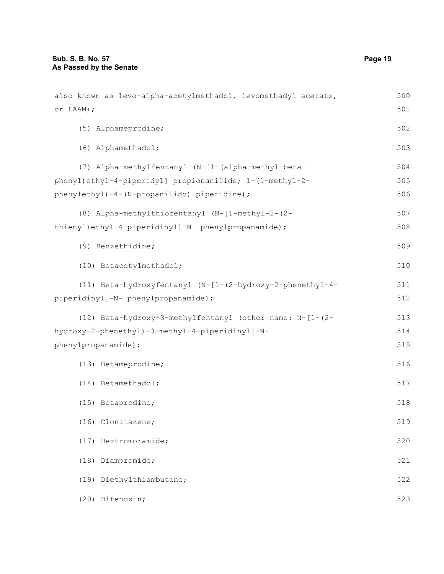| also known as levo-alpha-acetylmethadol, levomethadyl acetate, | 500 |
|----------------------------------------------------------------|-----|
| or LAAM) ;                                                     | 501 |
| (5) Alphameprodine;                                            | 502 |
| (6) Alphamethadol;                                             | 503 |
| (7) Alpha-methylfentanyl (N-[1-(alpha-methyl-beta-             | 504 |
| phenyl)ethyl-4-piperidyl] propionanilide; 1-(1-methyl-2-       | 505 |
| phenylethyl)-4-(N-propanilido) piperidine);                    | 506 |
| (8) Alpha-methylthiofentanyl (N-[1-methyl-2-(2-                | 507 |
| thienyl)ethyl-4-piperidinyl]-N- phenylpropanamide);            | 508 |
| (9) Benzethidine;                                              | 509 |
| (10) Betacetylmethadol;                                        | 510 |
| (11) Beta-hydroxyfentanyl (N-[1-(2-hydroxy-2-phenethyl-4-      | 511 |
| piperidinyl]-N- phenylpropanamide);                            | 512 |
| (12) Beta-hydroxy-3-methylfentanyl (other name: N-[1-(2-       | 513 |
| hydroxy-2-phenethyl)-3-methyl-4-piperidinyl]-N-                | 514 |
| phenylpropanamide);                                            | 515 |
| (13) Betameprodine;                                            | 516 |
| (14) Betamethadol;                                             | 517 |
| (15) Betaprodine;                                              | 518 |
| (16) Clonitazene;                                              | 519 |
| (17) Dextromoramide;                                           | 520 |
| (18) Diampromide;                                              | 521 |
| (19) Diethylthiambutene;                                       | 522 |
| (20) Difenoxin;                                                | 523 |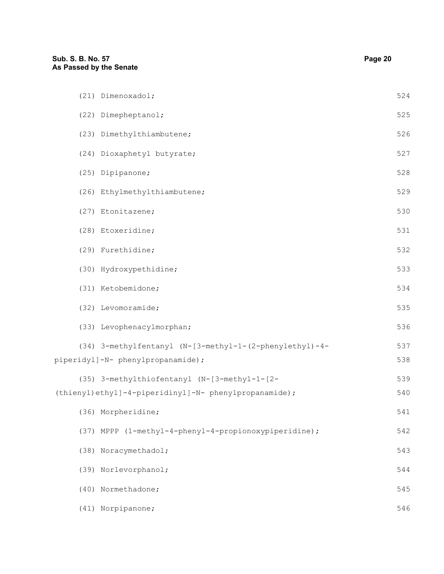| (21) Dimenoxadol;                                       | 524 |
|---------------------------------------------------------|-----|
| (22) Dimepheptanol;                                     | 525 |
| (23) Dimethylthiambutene;                               | 526 |
| (24) Dioxaphetyl butyrate;                              | 527 |
| (25) Dipipanone;                                        | 528 |
| (26) Ethylmethylthiambutene;                            | 529 |
| (27) Etonitazene;                                       | 530 |
| (28) Etoxeridine;                                       | 531 |
| (29) Furethidine;                                       | 532 |
| (30) Hydroxypethidine;                                  | 533 |
| (31) Ketobemidone;                                      | 534 |
| (32) Levomoramide;                                      | 535 |
| (33) Levophenacylmorphan;                               | 536 |
| (34) 3-methylfentanyl (N-[3-methyl-1-(2-phenylethyl)-4- | 537 |
| piperidyl]-N- phenylpropanamide);                       | 538 |
| (35) 3-methylthiofentanyl (N-[3-methyl-1-[2-            | 539 |
| (thienyl)ethyl]-4-piperidinyl]-N- phenylpropanamide);   | 540 |
| (36) Morpheridine;                                      | 541 |
| (37) MPPP (1-methyl-4-phenyl-4-propionoxypiperidine);   | 542 |
| (38) Noracymethadol;                                    | 543 |
| (39) Norlevorphanol;                                    | 544 |
| (40) Normethadone;                                      | 545 |
| (41) Norpipanone;                                       | 546 |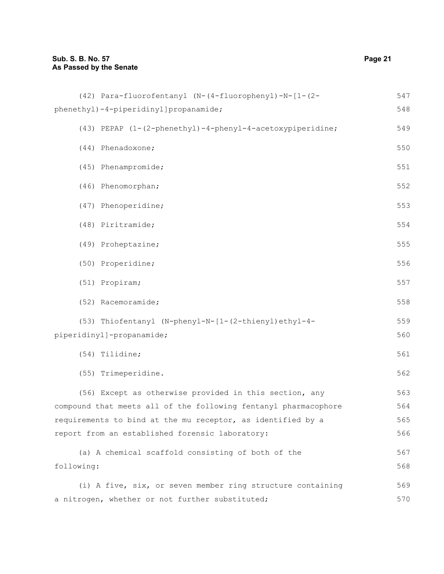| (42) Para-fluorofentanyl (N-(4-fluorophenyl)-N-[1-(2-           | 547 |
|-----------------------------------------------------------------|-----|
| phenethyl)-4-piperidinyl]propanamide;                           | 548 |
| (43) PEPAP (1-(2-phenethyl)-4-phenyl-4-acetoxypiperidine;       | 549 |
| (44) Phenadoxone;                                               | 550 |
| (45) Phenampromide;                                             | 551 |
| (46) Phenomorphan;                                              | 552 |
| (47) Phenoperidine;                                             | 553 |
| (48) Piritramide;                                               | 554 |
| (49) Proheptazine;                                              | 555 |
| (50) Properidine;                                               | 556 |
| (51) Propiram;                                                  | 557 |
| (52) Racemoramide;                                              | 558 |
| (53) Thiofentanyl (N-phenyl-N-[1-(2-thienyl)ethyl-4-            | 559 |
| piperidinyl]-propanamide;                                       | 560 |
| (54) Tilidine;                                                  | 561 |
| (55) Trimeperidine.                                             | 562 |
| (56) Except as otherwise provided in this section, any          | 563 |
| compound that meets all of the following fentanyl pharmacophore | 564 |
| requirements to bind at the mu receptor, as identified by a     | 565 |
| report from an established forensic laboratory:                 | 566 |
| (a) A chemical scaffold consisting of both of the               | 567 |
| following:                                                      | 568 |
| (i) A five, six, or seven member ring structure containing      | 569 |
| a nitrogen, whether or not further substituted;                 | 570 |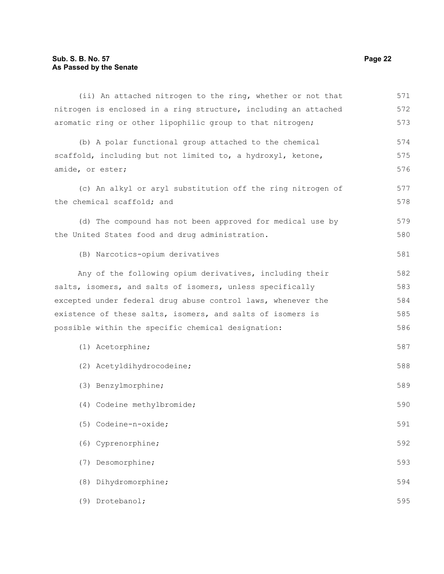## **Sub. S. B. No. 57 Page 22 As Passed by the Senate**

| (ii) An attached nitrogen to the ring, whether or not that      | 571 |
|-----------------------------------------------------------------|-----|
| nitrogen is enclosed in a ring structure, including an attached | 572 |
| aromatic ring or other lipophilic group to that nitrogen;       | 573 |
| (b) A polar functional group attached to the chemical           | 574 |
| scaffold, including but not limited to, a hydroxyl, ketone,     | 575 |
| amide, or ester;                                                | 576 |
| (c) An alkyl or aryl substitution off the ring nitrogen of      | 577 |
| the chemical scaffold; and                                      | 578 |
| (d) The compound has not been approved for medical use by       | 579 |
| the United States food and drug administration.                 | 580 |
| (B) Narcotics-opium derivatives                                 | 581 |
| Any of the following opium derivatives, including their         | 582 |
| salts, isomers, and salts of isomers, unless specifically       | 583 |
| excepted under federal drug abuse control laws, whenever the    | 584 |
| existence of these salts, isomers, and salts of isomers is      | 585 |
| possible within the specific chemical designation:              | 586 |
| (1) Acetorphine;                                                | 587 |
| (2) Acetyldihydrocodeine;                                       | 588 |
| (3) Benzylmorphine;                                             | 589 |
| (4) Codeine methylbromide;                                      | 590 |
| (5) Codeine-n-oxide;                                            | 591 |
| (6) Cyprenorphine;                                              | 592 |
| Desomorphine;<br>(7)                                            | 593 |
| Dihydromorphine;<br>(8)                                         | 594 |
| Drotebanol;<br>(9)                                              | 595 |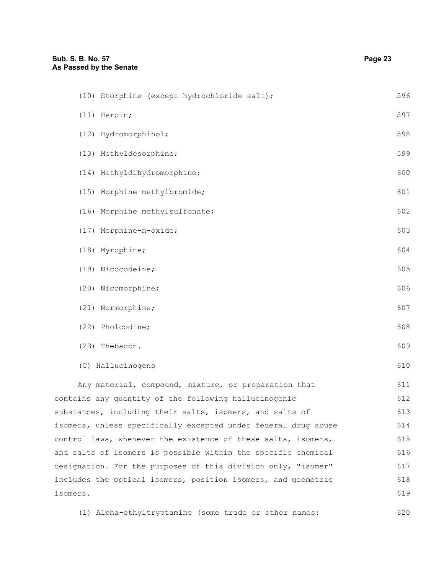| (10) Etorphine (except hydrochloride salt);                    | 596 |
|----------------------------------------------------------------|-----|
| (11) Heroin;                                                   | 597 |
| (12) Hydromorphinol;                                           | 598 |
| (13) Methyldesorphine;                                         | 599 |
| (14) Methyldihydromorphine;                                    | 600 |
| (15) Morphine methylbromide;                                   | 601 |
| (16) Morphine methylsulfonate;                                 | 602 |
| (17) Morphine-n-oxide;                                         | 603 |
| (18) Myrophine;                                                | 604 |
| (19) Nicocodeine;                                              | 605 |
| (20) Nicomorphine;                                             | 606 |
| (21) Normorphine;                                              | 607 |
| (22) Pholcodine;                                               | 608 |
| (23) Thebacon.                                                 | 609 |
| (C) Hallucinogens                                              | 610 |
| Any material, compound, mixture, or preparation that           | 611 |
| contains any quantity of the following hallucinogenic          | 612 |
| substances, including their salts, isomers, and salts of       | 613 |
| isomers, unless specifically excepted under federal drug abuse | 614 |
| control laws, whenever the existence of these salts, isomers,  | 615 |
| and salts of isomers is possible within the specific chemical  | 616 |
| designation. For the purposes of this division only, "isomer"  | 617 |
| includes the optical isomers, position isomers, and geometric  | 618 |
| isomers.                                                       | 619 |
| (1) Alpha-ethyltryptamine (some trade or other names:          | 620 |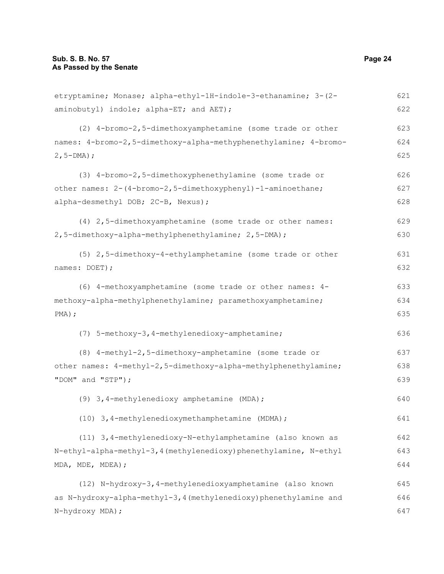etryptamine; Monase; alpha-ethyl-1H-indole-3-ethanamine; 3-(2 aminobutyl) indole; alpha-ET; and AET); (2) 4-bromo-2,5-dimethoxyamphetamine (some trade or other names: 4-bromo-2,5-dimethoxy-alpha-methyphenethylamine; 4-bromo-2,5-DMA); (3) 4-bromo-2,5-dimethoxyphenethylamine (some trade or other names: 2-(4-bromo-2,5-dimethoxyphenyl)-1-aminoethane; alpha-desmethyl DOB; 2C-B, Nexus); (4) 2,5-dimethoxyamphetamine (some trade or other names: 2,5-dimethoxy-alpha-methylphenethylamine; 2,5-DMA); (5) 2,5-dimethoxy-4-ethylamphetamine (some trade or other names: DOET); (6) 4-methoxyamphetamine (some trade or other names: 4 methoxy-alpha-methylphenethylamine; paramethoxyamphetamine; PMA); (7) 5-methoxy-3,4-methylenedioxy-amphetamine; (8) 4-methyl-2,5-dimethoxy-amphetamine (some trade or other names: 4-methyl-2,5-dimethoxy-alpha-methylphenethylamine; "DOM" and "STP"); (9) 3,4-methylenedioxy amphetamine (MDA); (10) 3,4-methylenedioxymethamphetamine (MDMA); (11) 3,4-methylenedioxy-N-ethylamphetamine (also known as N-ethyl-alpha-methyl-3,4(methylenedioxy)phenethylamine, N-ethyl MDA, MDE, MDEA); (12) N-hydroxy-3,4-methylenedioxyamphetamine (also known as N-hydroxy-alpha-methyl-3,4(methylenedioxy)phenethylamine and N-hydroxy MDA); 621 622 623 624 625 626 627 628 629 630 631 632 633 634 635 636 637 638 639 640 641 642 643 644 645 646 647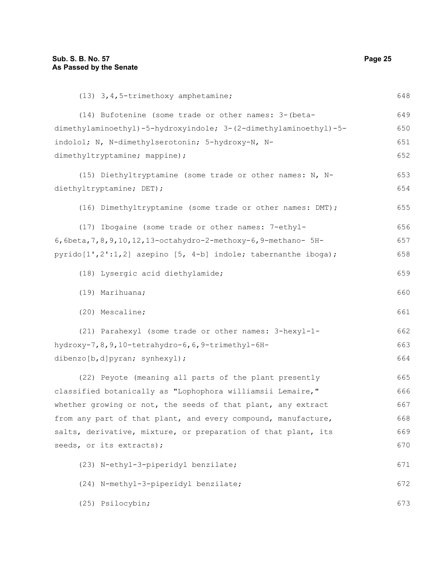(13) 3,4,5-trimethoxy amphetamine; (14) Bufotenine (some trade or other names: 3-(betadimethylaminoethyl)-5-hydroxyindole; 3-(2-dimethylaminoethyl)-5 indolol; N, N-dimethylserotonin; 5-hydroxy-N, Ndimethyltryptamine; mappine); (15) Diethyltryptamine (some trade or other names: N, Ndiethyltryptamine; DET); (16) Dimethyltryptamine (some trade or other names: DMT); (17) Ibogaine (some trade or other names: 7-ethyl-6,6beta,7,8,9,10,12,13-octahydro-2-methoxy-6,9-methano- 5Hpyrido[1',2':1,2] azepino [5, 4-b] indole; tabernanthe iboga); (18) Lysergic acid diethylamide; (19) Marihuana; (20) Mescaline; (21) Parahexyl (some trade or other names: 3-hexyl-1 hydroxy-7,8,9,10-tetrahydro-6,6,9-trimethyl-6Hdibenzo[b,d]pyran; synhexyl); (22) Peyote (meaning all parts of the plant presently classified botanically as "Lophophora williamsii Lemaire," whether growing or not, the seeds of that plant, any extract from any part of that plant, and every compound, manufacture, salts, derivative, mixture, or preparation of that plant, its seeds, or its extracts); (23) N-ethyl-3-piperidyl benzilate; (24) N-methyl-3-piperidyl benzilate; 648 649 650 651 652 653 654 655 656 657 658 659 660 661 662 663 664 665 666 667 668 669 670 671 672

(25) Psilocybin; 673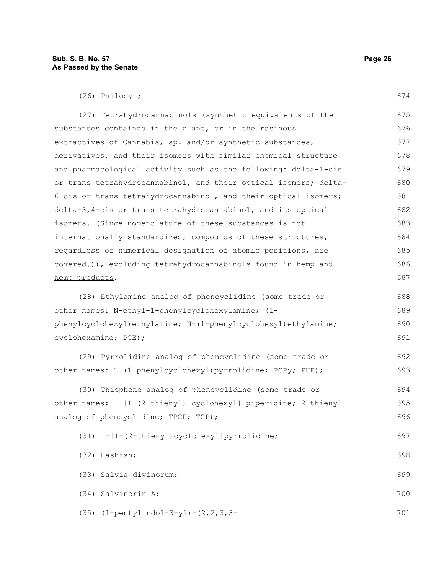(26) Psilocyn;

| (27) Tetrahydrocannabinols (synthetic equivalents of the         | 675 |
|------------------------------------------------------------------|-----|
| substances contained in the plant, or in the resinous            | 676 |
| extractives of Cannabis, sp. and/or synthetic substances,        | 677 |
| derivatives, and their isomers with similar chemical structure   | 678 |
| and pharmacological activity such as the following: delta-1-cis  | 679 |
| or trans tetrahydrocannabinol, and their optical isomers; delta- | 680 |
| 6-cis or trans tetrahydrocannabinol, and their optical isomers;  | 681 |
| delta-3,4-cis or trans tetrahydrocannabinol, and its optical     | 682 |
| isomers. (Since nomenclature of these substances is not          | 683 |
| internationally standardized, compounds of these structures,     | 684 |
| regardless of numerical designation of atomic positions, are     | 685 |
| covered.)), excluding tetrahydrocannabinols found in hemp and    | 686 |
| hemp products;                                                   | 687 |
| (28) Ethylamine analog of phencyclidine (some trade or           | 688 |
| other names: N-ethyl-1-phenylcyclohexylamine; (1-                | 689 |
| phenylcyclohexyl)ethylamine; N-(1-phenylcyclohexyl)ethylamine;   | 690 |
| cyclohexamine; PCE);                                             | 691 |
| (29) Pyrrolidine analog of phencyclidine (some trade or          | 692 |
| other names: 1-(1-phenylcyclohexyl) pyrrolidine; PCPy; PHP) ;    | 693 |
| (30) Thiophene analog of phencyclidine (some trade or            | 694 |
| other names: 1-[1-(2-thienyl)-cyclohexyl]-piperidine; 2-thienyl  | 695 |
| analog of phencyclidine; TPCP; TCP);                             | 696 |
| (31) 1-[1-(2-thienyl)cyclohexyl]pyrrolidine;                     | 697 |
| (32) Hashish;                                                    | 698 |
| (33) Salvia divinorum;                                           | 699 |
| (34) Salvinorin A;                                               | 700 |
| $(35)$ $(1-pentylindol-3-yl) - (2, 2, 3, 3-$                     | 701 |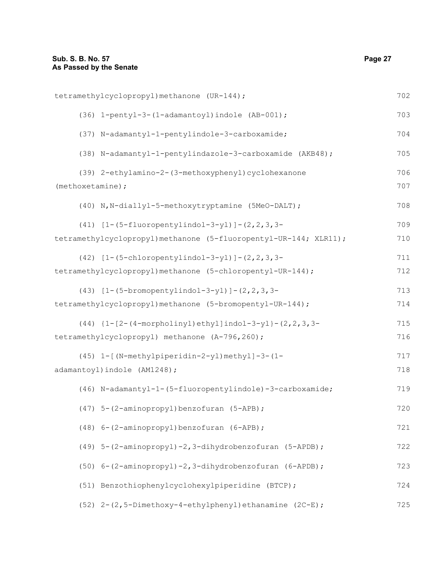| tetramethylcyclopropyl) methanone (UR-144);                      | 702 |
|------------------------------------------------------------------|-----|
| (36) 1-pentyl-3-(1-adamantoyl)indole (AB-001);                   | 703 |
| (37) N-adamantyl-1-pentylindole-3-carboxamide;                   | 704 |
| (38) N-adamantyl-1-pentylindazole-3-carboxamide (AKB48);         | 705 |
| (39) 2-ethylamino-2-(3-methoxyphenyl) cyclohexanone              | 706 |
| (methoxetamine);                                                 | 707 |
| (40) N, N-diallyl-5-methoxytryptamine (5MeO-DALT);               | 708 |
| $(41)$ $[1-(5-fluoropentylindol-3-yl)]-(2,2,3,3-$                | 709 |
| tetramethylcyclopropyl)methanone (5-fluoropentyl-UR-144; XLR11); | 710 |
| $(42)$ [1- $(5$ -chloropentylindol-3-yl)]- $(2, 2, 3, 3-$        | 711 |
| tetramethylcyclopropyl) methanone (5-chloropentyl-UR-144);       | 712 |
| $(43)$ $[1-(5-bromopentylindol-3-yl)]-(2,2,3,3-$                 | 713 |
| tetramethylcyclopropyl) methanone (5-bromopentyl-UR-144);        | 714 |
| $(44)$ {1-[2-(4-morpholinyl)ethyl]indol-3-yl}-(2, 2, 3, 3-       | 715 |
| tetramethylcyclopropyl) methanone (A-796,260);                   | 716 |
| (45) 1-[(N-methylpiperidin-2-yl)methyl]-3-(1-                    | 717 |
| adamantoyl) indole (AM1248);                                     | 718 |
| (46) N-adamantyl-1-(5-fluoropentylindole)-3-carboxamide;         | 719 |
| (47) 5-(2-aminopropyl)benzofuran (5-APB);                        | 720 |
| (48) 6-(2-aminopropyl)benzofuran (6-APB);                        | 721 |
| (49) 5-(2-aminopropyl)-2,3-dihydrobenzofuran (5-APDB);           | 722 |
| (50) 6-(2-aminopropyl)-2,3-dihydrobenzofuran (6-APDB);           | 723 |
| (51) Benzothiophenylcyclohexylpiperidine (BTCP);                 | 724 |
| (52) 2-(2,5-Dimethoxy-4-ethylphenyl) ethanamine (2C-E);          | 725 |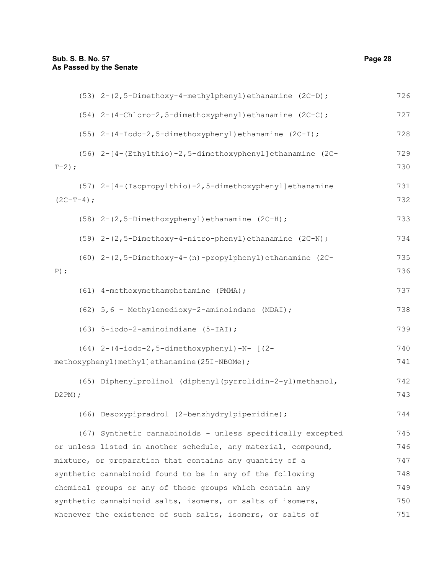| (53) 2-(2,5-Dimethoxy-4-methylphenyl) ethanamine (2C-D);          | 726 |
|-------------------------------------------------------------------|-----|
| (54) 2-(4-Chloro-2,5-dimethoxyphenyl) ethanamine (2C-C);          | 727 |
| (55) 2-(4-Iodo-2,5-dimethoxyphenyl) ethanamine (2C-I);            | 728 |
| (56) 2-[4-(Ethylthio)-2,5-dimethoxyphenyl]ethanamine (2C-         | 729 |
| $T-2;$                                                            | 730 |
| (57) 2-[4-(Isopropylthio)-2,5-dimethoxyphenyl]ethanamine          | 731 |
| $(2C-T-4);$                                                       | 732 |
| (58) 2-(2,5-Dimethoxyphenyl) ethanamine (2C-H);                   | 733 |
| $(59)$ 2- $(2, 5-Dimethoxy-4-nitro-phenyl)$ ethanamine $(2C-N)$ ; | 734 |
| (60) 2-(2,5-Dimethoxy-4-(n)-propylphenyl)ethanamine (2C-          | 735 |
| $P)$ ;                                                            | 736 |
| (61) 4-methoxymethamphetamine (PMMA);                             | 737 |
| (62) 5,6 - Methylenedioxy-2-aminoindane (MDAI);                   | 738 |
| (63) 5-iodo-2-aminoindiane (5-IAI);                               | 739 |
| $(64)$ 2- $(4-iodo-2, 5-dimethoxyphenyl) - N - [$ $(2-i)$         | 740 |
| methoxyphenyl) methyl] ethanamine (25I-NBOMe) ;                   | 741 |
| (65) Diphenylprolinol (diphenyl(pyrrolidin-2-yl)methanol,         | 742 |
| D2PM;                                                             | 743 |
| (66) Desoxypipradrol (2-benzhydrylpiperidine);                    | 744 |
| (67) Synthetic cannabinoids - unless specifically excepted        | 745 |
| or unless listed in another schedule, any material, compound,     | 746 |
| mixture, or preparation that contains any quantity of a           | 747 |
| synthetic cannabinoid found to be in any of the following         | 748 |
| chemical groups or any of those groups which contain any          | 749 |
| synthetic cannabinoid salts, isomers, or salts of isomers,        | 750 |
| whenever the existence of such salts, isomers, or salts of        | 751 |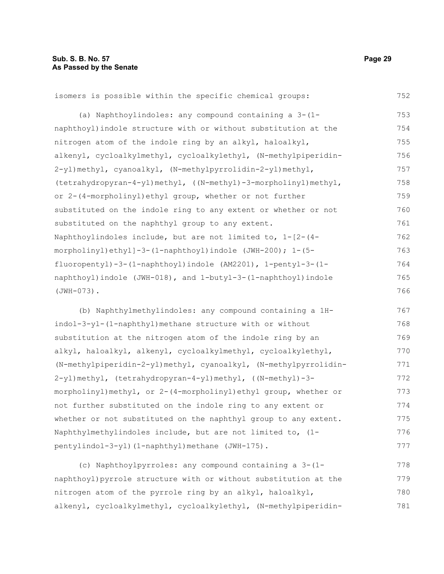752

isomers is possible within the specific chemical groups:

(a) Naphthoylindoles: any compound containing a 3-(1 naphthoyl)indole structure with or without substitution at the nitrogen atom of the indole ring by an alkyl, haloalkyl, alkenyl, cycloalkylmethyl, cycloalkylethyl, (N-methylpiperidin-2-yl)methyl, cyanoalkyl, (N-methylpyrrolidin-2-yl)methyl, (tetrahydropyran-4-yl)methyl, ((N-methyl)-3-morpholinyl)methyl, or 2-(4-morpholinyl)ethyl group, whether or not further substituted on the indole ring to any extent or whether or not substituted on the naphthyl group to any extent. Naphthoylindoles include, but are not limited to, 1-[2-(4 morpholinyl)ethyl]-3-(1-naphthoyl)indole (JWH-200); 1-(5 fluoropentyl)-3-(1-naphthoyl)indole (AM2201), 1-pentyl-3-(1 naphthoyl)indole (JWH-018), and 1-butyl-3-(1-naphthoyl)indole (JWH-073). 753 754 755 756 757 758 759 760 761 762 763 764 765 766

(b) Naphthylmethylindoles: any compound containing a 1Hindol-3-yl-(1-naphthyl)methane structure with or without substitution at the nitrogen atom of the indole ring by an alkyl, haloalkyl, alkenyl, cycloalkylmethyl, cycloalkylethyl, (N-methylpiperidin-2-yl)methyl, cyanoalkyl, (N-methylpyrrolidin-2-yl)methyl, (tetrahydropyran-4-yl)methyl, ((N-methyl)-3 morpholinyl)methyl, or 2-(4-morpholinyl)ethyl group, whether or not further substituted on the indole ring to any extent or whether or not substituted on the naphthyl group to any extent. Naphthylmethylindoles include, but are not limited to, (1 pentylindol-3-yl)(1-naphthyl)methane (JWH-175). 767 768 769 770 771 772 773 774 775 776 777

(c) Naphthoylpyrroles: any compound containing a 3-(1 naphthoyl)pyrrole structure with or without substitution at the nitrogen atom of the pyrrole ring by an alkyl, haloalkyl, alkenyl, cycloalkylmethyl, cycloalkylethyl, (N-methylpiperidin-778 779 780 781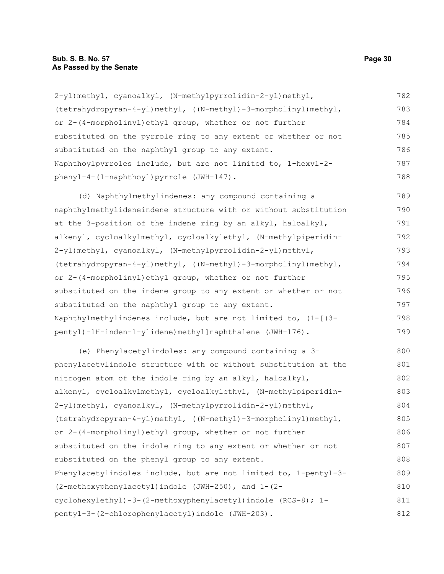2-yl)methyl, cyanoalkyl, (N-methylpyrrolidin-2-yl)methyl, (tetrahydropyran-4-yl)methyl, ((N-methyl)-3-morpholinyl)methyl, or 2-(4-morpholinyl)ethyl group, whether or not further substituted on the pyrrole ring to any extent or whether or not substituted on the naphthyl group to any extent. Naphthoylpyrroles include, but are not limited to, 1-hexyl-2 phenyl-4-(1-naphthoyl)pyrrole (JWH-147). 782 783 784 785 786 787 788

(d) Naphthylmethylindenes: any compound containing a naphthylmethylideneindene structure with or without substitution at the 3-position of the indene ring by an alkyl, haloalkyl, alkenyl, cycloalkylmethyl, cycloalkylethyl, (N-methylpiperidin-2-yl)methyl, cyanoalkyl, (N-methylpyrrolidin-2-yl)methyl, (tetrahydropyran-4-yl)methyl, ((N-methyl)-3-morpholinyl)methyl, or 2-(4-morpholinyl)ethyl group, whether or not further substituted on the indene group to any extent or whether or not substituted on the naphthyl group to any extent. Naphthylmethylindenes include, but are not limited to, (1-[(3 pentyl)-1H-inden-1-ylidene)methyl]naphthalene (JWH-176). 789 790 791 792 793 794 795 796 797 798 799

(e) Phenylacetylindoles: any compound containing a 3 phenylacetylindole structure with or without substitution at the nitrogen atom of the indole ring by an alkyl, haloalkyl, alkenyl, cycloalkylmethyl, cycloalkylethyl, (N-methylpiperidin-2-yl)methyl, cyanoalkyl, (N-methylpyrrolidin-2-yl)methyl, (tetrahydropyran-4-yl)methyl, ((N-methyl)-3-morpholinyl)methyl, or 2-(4-morpholinyl)ethyl group, whether or not further substituted on the indole ring to any extent or whether or not substituted on the phenyl group to any extent. Phenylacetylindoles include, but are not limited to, 1-pentyl-3- (2-methoxyphenylacetyl)indole (JWH-250), and 1-(2 cyclohexylethyl)-3-(2-methoxyphenylacetyl)indole (RCS-8); 1 pentyl-3-(2-chlorophenylacetyl)indole (JWH-203). 800 801 802 803 804 805 806 807 808 809 810 811 812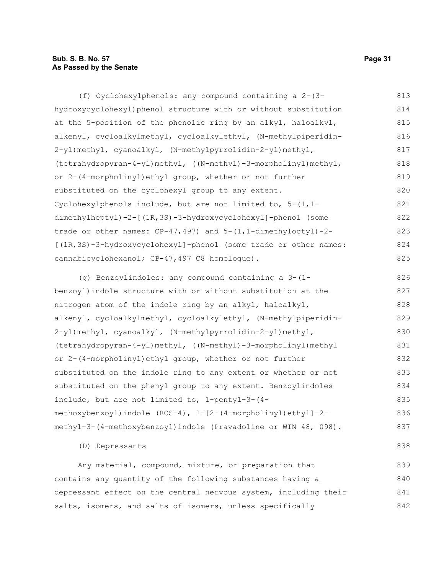#### **Sub. S. B. No. 57 Page 31 As Passed by the Senate**

(f) Cyclohexylphenols: any compound containing a 2-(3 hydroxycyclohexyl)phenol structure with or without substitution at the 5-position of the phenolic ring by an alkyl, haloalkyl, alkenyl, cycloalkylmethyl, cycloalkylethyl, (N-methylpiperidin-2-yl)methyl, cyanoalkyl, (N-methylpyrrolidin-2-yl)methyl, (tetrahydropyran-4-yl)methyl, ((N-methyl)-3-morpholinyl)methyl, or 2-(4-morpholinyl)ethyl group, whether or not further substituted on the cyclohexyl group to any extent. Cyclohexylphenols include, but are not limited to,  $5-(1,1$ dimethylheptyl)-2-[(1R,3S)-3-hydroxycyclohexyl]-phenol (some trade or other names: CP-47,497) and 5-(1,1-dimethyloctyl)-2- [(1R,3S)-3-hydroxycyclohexyl]-phenol (some trade or other names: cannabicyclohexanol; CP-47,497 C8 homologue). 813 814 815 816 817 818 819 820 821 822 823 824 825

(g) Benzoylindoles: any compound containing a 3-(1 benzoyl)indole structure with or without substitution at the nitrogen atom of the indole ring by an alkyl, haloalkyl, alkenyl, cycloalkylmethyl, cycloalkylethyl, (N-methylpiperidin-2-yl)methyl, cyanoalkyl, (N-methylpyrrolidin-2-yl)methyl, (tetrahydropyran-4-yl)methyl, ((N-methyl)-3-morpholinyl)methyl or 2-(4-morpholinyl)ethyl group, whether or not further substituted on the indole ring to any extent or whether or not substituted on the phenyl group to any extent. Benzoylindoles include, but are not limited to, 1-pentyl-3-(4 methoxybenzoyl)indole (RCS-4), 1-[2-(4-morpholinyl)ethyl]-2 methyl-3-(4-methoxybenzoyl)indole (Pravadoline or WIN 48, 098). 826 827 828 829 830 831 832 833 834 835 836 837

(D) Depressants

Any material, compound, mixture, or preparation that contains any quantity of the following substances having a depressant effect on the central nervous system, including their salts, isomers, and salts of isomers, unless specifically 839 840 841 842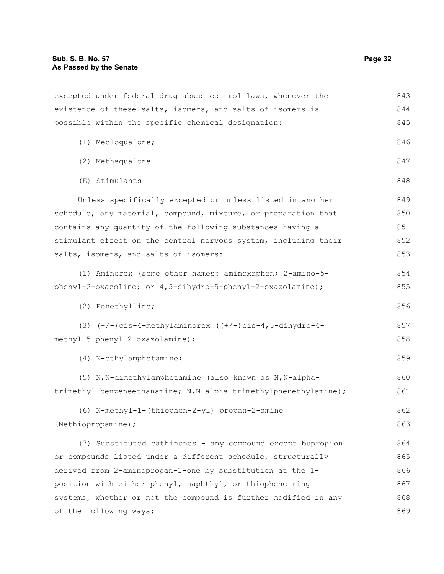| excepted under federal drug abuse control laws, whenever the      | 843 |
|-------------------------------------------------------------------|-----|
| existence of these salts, isomers, and salts of isomers is        | 844 |
| possible within the specific chemical designation:                | 845 |
| (1) Mecloqualone;                                                 | 846 |
| (2) Methaqualone.                                                 | 847 |
| (E) Stimulants                                                    | 848 |
| Unless specifically excepted or unless listed in another          | 849 |
| schedule, any material, compound, mixture, or preparation that    | 850 |
| contains any quantity of the following substances having a        | 851 |
| stimulant effect on the central nervous system, including their   | 852 |
| salts, isomers, and salts of isomers:                             | 853 |
| (1) Aminorex (some other names: aminoxaphen; 2-amino-5-           | 854 |
| phenyl-2-oxazoline; or 4,5-dihydro-5-phenyl-2-oxazolamine);       | 855 |
| (2) Fenethylline;                                                 | 856 |
| (3) $(+/-)$ cis-4-methylaminorex $((+/-)$ cis-4, 5-dihydro-4-     | 857 |
| methyl-5-phenyl-2-oxazolamine);                                   | 858 |
| (4) N-ethylamphetamine;                                           | 859 |
| (5) N, N-dimethylamphetamine (also known as N, N-alpha-           | 860 |
| trimethyl-benzeneethanamine; N, N-alpha-trimethylphenethylamine); | 861 |
| (6) N-methyl-1-(thiophen-2-yl) propan-2-amine                     | 862 |
| (Methiopropamine);                                                | 863 |
| (7) Substituted cathinones - any compound except bupropion        | 864 |
| or compounds listed under a different schedule, structurally      | 865 |
| derived from 2-aminopropan-1-one by substitution at the 1-        | 866 |
| position with either phenyl, naphthyl, or thiophene ring          | 867 |
| systems, whether or not the compound is further modified in any   | 868 |
| of the following ways:                                            | 869 |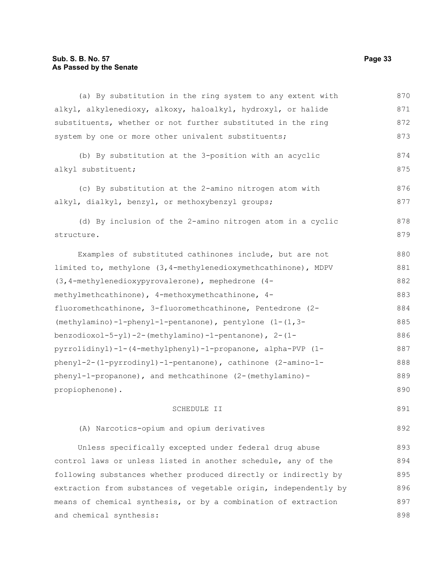| (a) By substitution in the ring system to any extent with        | 870 |
|------------------------------------------------------------------|-----|
| alkyl, alkylenedioxy, alkoxy, haloalkyl, hydroxyl, or halide     | 871 |
| substituents, whether or not further substituted in the ring     | 872 |
| system by one or more other univalent substituents;              | 873 |
| (b) By substitution at the 3-position with an acyclic            | 874 |
| alkyl substituent;                                               | 875 |
| (c) By substitution at the 2-amino nitrogen atom with            | 876 |
| alkyl, dialkyl, benzyl, or methoxybenzyl groups;                 | 877 |
| (d) By inclusion of the 2-amino nitrogen atom in a cyclic        | 878 |
| structure.                                                       | 879 |
| Examples of substituted cathinones include, but are not          | 880 |
| limited to, methylone (3,4-methylenedioxymethcathinone), MDPV    | 881 |
| (3,4-methylenedioxypyrovalerone), mephedrone (4-                 | 882 |
| methylmethcathinone), 4-methoxymethcathinone, 4-                 | 883 |
| fluoromethcathinone, 3-fluoromethcathinone, Pentedrone (2-       | 884 |
| $(methylamino) - 1-phenyl-1-pentano.$ , pentylone $(1-(1,3-$     | 885 |
| benzodioxol-5-yl)-2-(methylamino)-1-pentanone), 2-(1-            | 886 |
| pyrrolidinyl)-1-(4-methylphenyl)-1-propanone, alpha-PVP (1-      | 887 |
| phenyl-2-(1-pyrrodinyl)-1-pentanone), cathinone (2-amino-1-      | 888 |
| phenyl-1-propanone), and methcathinone (2-(methylamino)-         | 889 |
| propiophenone).                                                  | 890 |
| SCHEDULE II                                                      | 891 |
| (A) Narcotics-opium and opium derivatives                        | 892 |
| Unless specifically excepted under federal drug abuse            | 893 |
| control laws or unless listed in another schedule, any of the    | 894 |
| following substances whether produced directly or indirectly by  | 895 |
| extraction from substances of vegetable origin, independently by | 896 |
| means of chemical synthesis, or by a combination of extraction   | 897 |
| and chemical synthesis:                                          | 898 |
|                                                                  |     |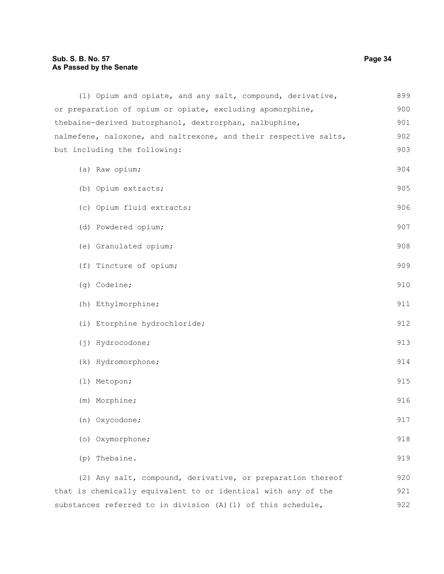## **Sub. S. B. No. 57 Page 34 As Passed by the Senate**

| (1) Opium and opiate, and any salt, compound, derivative,        | 899 |
|------------------------------------------------------------------|-----|
| or preparation of opium or opiate, excluding apomorphine,        | 900 |
| thebaine-derived butorphanol, dextrorphan, nalbuphine,           | 901 |
| nalmefene, naloxone, and naltrexone, and their respective salts, | 902 |
| but including the following:                                     | 903 |
|                                                                  | 904 |
| (a) Raw opium;                                                   |     |
| (b) Opium extracts;                                              | 905 |
| (c) Opium fluid extracts;                                        | 906 |
|                                                                  |     |
| (d) Powdered opium;                                              | 907 |
| (e) Granulated opium;                                            | 908 |
|                                                                  |     |
| (f) Tincture of opium;                                           | 909 |
| (g) Codeine;                                                     | 910 |
| (h) Ethylmorphine;                                               | 911 |
|                                                                  |     |
| (i) Etorphine hydrochloride;                                     | 912 |
| (j) Hydrocodone;                                                 | 913 |
| (k) Hydromorphone;                                               | 914 |
| (1) Metopon;                                                     | 915 |
|                                                                  |     |
| (m) Morphine;                                                    | 916 |
| (n) Oxycodone;                                                   | 917 |
| (o) Oxymorphone;                                                 | 918 |
| Thebaine.<br>(p)                                                 | 919 |
|                                                                  |     |
| (2) Any salt, compound, derivative, or preparation thereof       | 920 |
| that is chemically equivalent to or identical with any of the    | 921 |
| substances referred to in division (A) (1) of this schedule,     | 922 |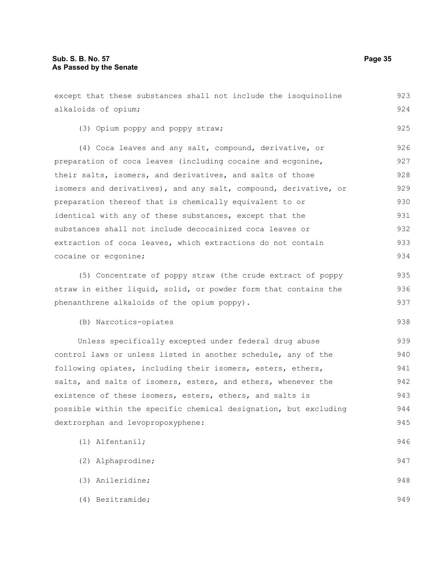(4) Bezitramide;

alkaloids of opium; (3) Opium poppy and poppy straw; (4) Coca leaves and any salt, compound, derivative, or preparation of coca leaves (including cocaine and ecgonine, their salts, isomers, and derivatives, and salts of those isomers and derivatives), and any salt, compound, derivative, or preparation thereof that is chemically equivalent to or identical with any of these substances, except that the substances shall not include decocainized coca leaves or extraction of coca leaves, which extractions do not contain cocaine or ecgonine; (5) Concentrate of poppy straw (the crude extract of poppy straw in either liquid, solid, or powder form that contains the phenanthrene alkaloids of the opium poppy). (B) Narcotics-opiates Unless specifically excepted under federal drug abuse control laws or unless listed in another schedule, any of the following opiates, including their isomers, esters, ethers, salts, and salts of isomers, esters, and ethers, whenever the existence of these isomers, esters, ethers, and salts is possible within the specific chemical designation, but excluding dextrorphan and levopropoxyphene: (1) Alfentanil; (2) Alphaprodine; (3) Anileridine; 924 925 926 927 928 929 930 931 932 933 934 935 936 937 938 939 940 941 942 943 944 945 946 947 948

except that these substances shall not include the isoquinoline

923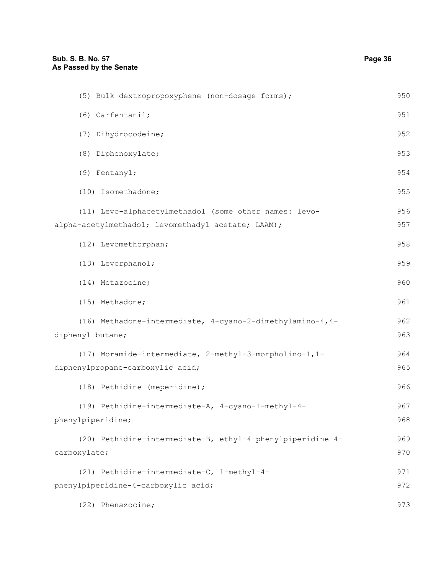| (5) Bulk dextropropoxyphene (non-dosage forms);                                                             | 950        |
|-------------------------------------------------------------------------------------------------------------|------------|
| (6) Carfentanil;                                                                                            | 951        |
| (7) Dihydrocodeine;                                                                                         | 952        |
| (8) Diphenoxylate;                                                                                          | 953        |
| (9) Fentanyl;                                                                                               | 954        |
| (10) Isomethadone;                                                                                          | 955        |
| (11) Levo-alphacetylmethadol (some other names: levo-<br>alpha-acetylmethadol; levomethadyl acetate; LAAM); | 956<br>957 |
| (12) Levomethorphan;                                                                                        | 958        |
| (13) Levorphanol;                                                                                           | 959        |
| (14) Metazocine;                                                                                            | 960        |
| (15) Methadone;                                                                                             | 961        |
| (16) Methadone-intermediate, 4-cyano-2-dimethylamino-4, 4-<br>diphenyl butane;                              | 962<br>963 |
| (17) Moramide-intermediate, 2-methyl-3-morpholino-1,1-<br>diphenylpropane-carboxylic acid;                  | 964<br>965 |
| (18) Pethidine (meperidine);                                                                                | 966        |
| (19) Pethidine-intermediate-A, 4-cyano-1-methyl-4-<br>phenylpiperidine;                                     | 967<br>968 |
| (20) Pethidine-intermediate-B, ethyl-4-phenylpiperidine-4-<br>carboxylate;                                  | 969<br>970 |
| (21) Pethidine-intermediate-C, 1-methyl-4-                                                                  | 971        |
| phenylpiperidine-4-carboxylic acid;                                                                         | 972        |
| (22) Phenazocine;                                                                                           | 973        |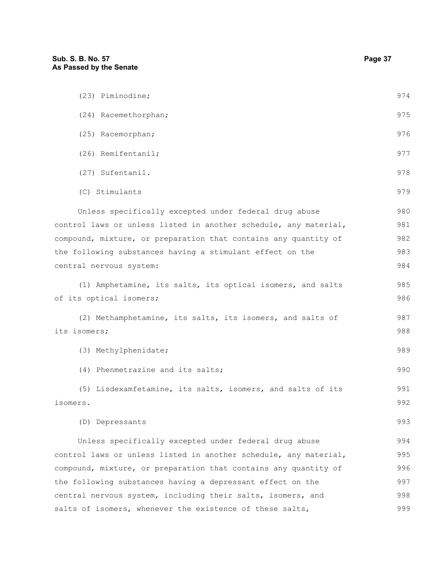| (23) Piminodine;                                                 | 974 |
|------------------------------------------------------------------|-----|
| (24) Racemethorphan;                                             | 975 |
| (25) Racemorphan;                                                | 976 |
| (26) Remifentanil;                                               | 977 |
| (27) Sufentanil.                                                 | 978 |
| (C) Stimulants                                                   | 979 |
| Unless specifically excepted under federal drug abuse            | 980 |
| control laws or unless listed in another schedule, any material, | 981 |
| compound, mixture, or preparation that contains any quantity of  | 982 |
| the following substances having a stimulant effect on the        | 983 |
| central nervous system:                                          | 984 |
| (1) Amphetamine, its salts, its optical isomers, and salts       | 985 |
| of its optical isomers;                                          | 986 |
| (2) Methamphetamine, its salts, its isomers, and salts of        | 987 |
| its isomers;                                                     | 988 |
| (3) Methylphenidate;                                             | 989 |
| (4) Phenmetrazine and its salts;                                 | 990 |
| (5) Lisdexamfetamine, its salts, isomers, and salts of its       | 991 |
| isomers.                                                         | 992 |
| (D) Depressants                                                  | 993 |
| Unless specifically excepted under federal drug abuse            | 994 |
| control laws or unless listed in another schedule, any material, | 995 |
| compound, mixture, or preparation that contains any quantity of  | 996 |
| the following substances having a depressant effect on the       | 997 |
| central nervous system, including their salts, isomers, and      | 998 |
| salts of isomers, whenever the existence of these salts,         | 999 |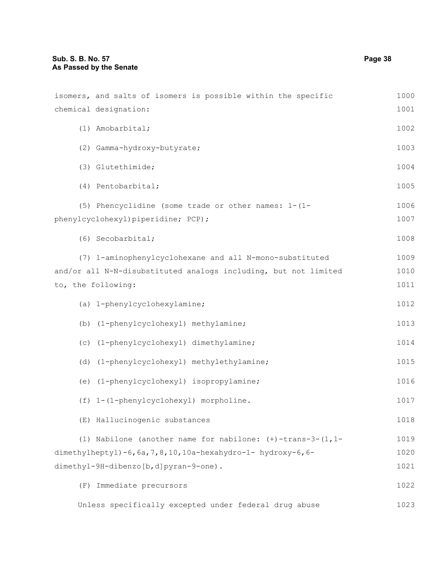| isomers, and salts of isomers is possible within the specific      | 1000 |
|--------------------------------------------------------------------|------|
| chemical designation:                                              | 1001 |
| (1) Amobarbital;                                                   | 1002 |
| (2) Gamma-hydroxy-butyrate;                                        | 1003 |
| (3) Glutethimide;                                                  | 1004 |
| (4) Pentobarbital;                                                 | 1005 |
| (5) Phencyclidine (some trade or other names: 1-(1-                | 1006 |
| phenylcyclohexyl) piperidine; PCP);                                | 1007 |
| (6) Secobarbital;                                                  | 1008 |
| (7) 1-aminophenylcyclohexane and all N-mono-substituted            | 1009 |
| and/or all N-N-disubstituted analogs including, but not limited    | 1010 |
| to, the following:                                                 | 1011 |
| (a) 1-phenylcyclohexylamine;                                       | 1012 |
| (b) (1-phenylcyclohexyl) methylamine;                              | 1013 |
| (c) (1-phenylcyclohexyl) dimethylamine;                            | 1014 |
| (d) (1-phenylcyclohexyl) methylethylamine;                         | 1015 |
| (e) (1-phenylcyclohexyl) isopropylamine;                           | 1016 |
| (f) 1-(1-phenylcyclohexyl) morpholine.                             | 1017 |
| (E) Hallucinogenic substances                                      | 1018 |
| (1) Nabilone (another name for nabilone: $(+)$ -trans-3-(1,1-      | 1019 |
| dimethylheptyl)-6, $6a$ , 7, 8, 10, 10a-hexahydro-1- hydroxy-6, 6- | 1020 |
| dimethyl-9H-dibenzo[b,d]pyran-9-one).                              | 1021 |
| (F) Immediate precursors                                           | 1022 |
| Unless specifically excepted under federal drug abuse              | 1023 |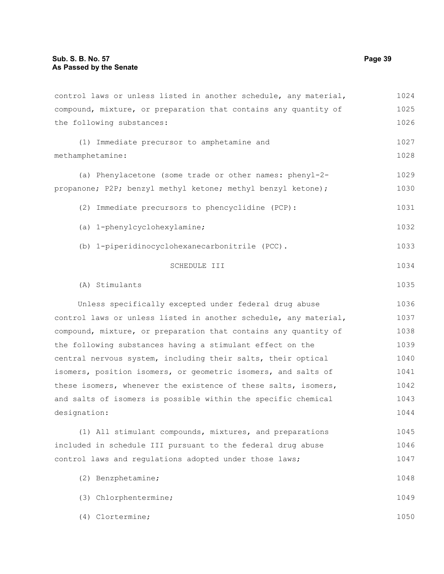control laws or unless listed in another schedule, any material, compound, mixture, or preparation that contains any quantity of the following substances: (1) Immediate precursor to amphetamine and methamphetamine: (a) Phenylacetone (some trade or other names: phenyl-2 propanone; P2P; benzyl methyl ketone; methyl benzyl ketone); (2) Immediate precursors to phencyclidine (PCP): (a) 1-phenylcyclohexylamine; (b) 1-piperidinocyclohexanecarbonitrile (PCC). SCHEDULE III (A) Stimulants Unless specifically excepted under federal drug abuse control laws or unless listed in another schedule, any material, compound, mixture, or preparation that contains any quantity of the following substances having a stimulant effect on the central nervous system, including their salts, their optical isomers, position isomers, or geometric isomers, and salts of these isomers, whenever the existence of these salts, isomers, and salts of isomers is possible within the specific chemical designation: (1) All stimulant compounds, mixtures, and preparations included in schedule III pursuant to the federal drug abuse control laws and regulations adopted under those laws; (2) Benzphetamine; (3) Chlorphentermine; (4) Clortermine; 1024 1025 1026 1027 1028 1029 1030 1031 1032 1033 1034 1035 1036 1037 1038 1039 1040 1041 1042 1043 1044 1045 1046 1047 1048 1049 1050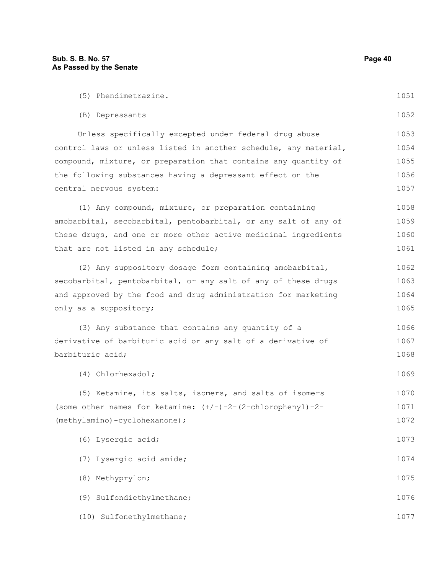| (5) Phendimetrazine.                                                 | 1051 |
|----------------------------------------------------------------------|------|
| (B) Depressants                                                      | 1052 |
| Unless specifically excepted under federal drug abuse                | 1053 |
| control laws or unless listed in another schedule, any material,     | 1054 |
| compound, mixture, or preparation that contains any quantity of      | 1055 |
| the following substances having a depressant effect on the           | 1056 |
| central nervous system:                                              | 1057 |
| (1) Any compound, mixture, or preparation containing                 | 1058 |
| amobarbital, secobarbital, pentobarbital, or any salt of any of      | 1059 |
| these drugs, and one or more other active medicinal ingredients      | 1060 |
| that are not listed in any schedule;                                 | 1061 |
| (2) Any suppository dosage form containing amobarbital,              | 1062 |
| secobarbital, pentobarbital, or any salt of any of these drugs       | 1063 |
| and approved by the food and drug administration for marketing       | 1064 |
| only as a suppository;                                               | 1065 |
| (3) Any substance that contains any quantity of a                    | 1066 |
| derivative of barbituric acid or any salt of a derivative of         | 1067 |
| barbituric acid;                                                     | 1068 |
| (4) Chlorhexadol;                                                    | 1069 |
| (5) Ketamine, its salts, isomers, and salts of isomers               | 1070 |
| (some other names for ketamine: $(+/-)-2-(2-\text{chlorophenyl})-2-$ | 1071 |
| (methylamino)-cyclohexanone);                                        | 1072 |
| (6) Lysergic acid;                                                   | 1073 |
| (7) Lysergic acid amide;                                             | 1074 |
| (8) Methyprylon;                                                     | 1075 |
| (9) Sulfondiethylmethane;                                            | 1076 |
| (10) Sulfonethylmethane;                                             | 1077 |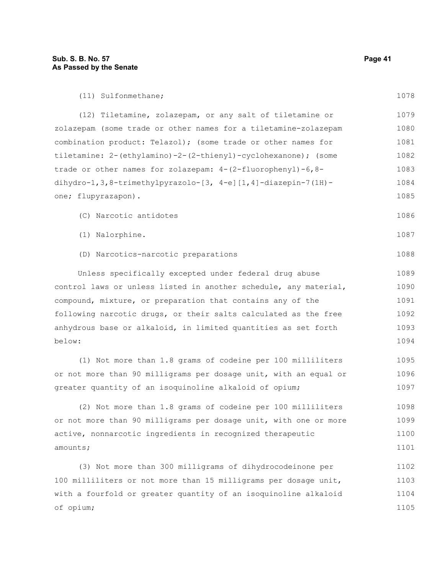(11) Sulfonmethane;

| (12) Tiletamine, zolazepam, or any salt of tiletamine or                     | 1079 |
|------------------------------------------------------------------------------|------|
| zolazepam (some trade or other names for a tiletamine-zolazepam              | 1080 |
| combination product: Telazol); (some trade or other names for                | 1081 |
| tiletamine: 2-(ethylamino)-2-(2-thienyl)-cyclohexanone); (some               | 1082 |
| trade or other names for zolazepam: $4 - (2 - \text{fluorophenyl}) - 6, 8 -$ | 1083 |
| dihydro-1, 3, 8-trimethylpyrazolo-[3, $4-e$ ] [1, 4]-diazepin-7(1H)-         | 1084 |
| one; flupyrazapon).                                                          | 1085 |
| (C) Narcotic antidotes                                                       | 1086 |
| (1) Nalorphine.                                                              | 1087 |
| (D) Narcotics-narcotic preparations                                          | 1088 |
| Unless specifically excepted under federal drug abuse                        | 1089 |
| control laws or unless listed in another schedule, any material,             | 1090 |
| compound, mixture, or preparation that contains any of the                   | 1091 |
| following narcotic drugs, or their salts calculated as the free              | 1092 |
| anhydrous base or alkaloid, in limited quantities as set forth               | 1093 |
| below:                                                                       | 1094 |
| (1) Not more than 1.8 grams of codeine per 100 milliliters                   | 1095 |
| or not more than 90 milligrams per dosage unit, with an equal or             | 1096 |
| greater quantity of an isoquinoline alkaloid of opium;                       | 1097 |
| (2) Not more than 1.8 grams of codeine per 100 milliliters                   | 1098 |
| or not more than 90 milligrams per dosage unit, with one or more             | 1099 |
| active, nonnarcotic ingredients in recognized therapeutic                    | 1100 |
| amounts;                                                                     | 1101 |
|                                                                              |      |

(3) Not more than 300 milligrams of dihydrocodeinone per 100 milliliters or not more than 15 milligrams per dosage unit, with a fourfold or greater quantity of an isoquinoline alkaloid of opium; 1102 1103 1104 1105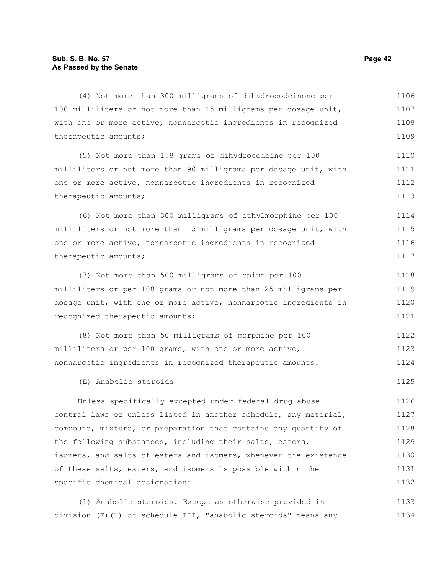(4) Not more than 300 milligrams of dihydrocodeinone per 100 milliliters or not more than 15 milligrams per dosage unit, with one or more active, nonnarcotic ingredients in recognized therapeutic amounts; 1106 1107 1108 1109

(5) Not more than 1.8 grams of dihydrocodeine per 100 milliliters or not more than 90 milligrams per dosage unit, with one or more active, nonnarcotic ingredients in recognized therapeutic amounts; 1110 1111 1112 1113

(6) Not more than 300 milligrams of ethylmorphine per 100 milliliters or not more than 15 milligrams per dosage unit, with one or more active, nonnarcotic ingredients in recognized therapeutic amounts; 1114 1115 1116 1117

(7) Not more than 500 milligrams of opium per 100 milliliters or per 100 grams or not more than 25 milligrams per dosage unit, with one or more active, nonnarcotic ingredients in recognized therapeutic amounts; 1118 1119 1120 1121

(8) Not more than 50 milligrams of morphine per 100 milliliters or per 100 grams, with one or more active, nonnarcotic ingredients in recognized therapeutic amounts. 1122 1123 1124

(E) Anabolic steroids

Unless specifically excepted under federal drug abuse control laws or unless listed in another schedule, any material, compound, mixture, or preparation that contains any quantity of the following substances, including their salts, esters, isomers, and salts of esters and isomers, whenever the existence of these salts, esters, and isomers is possible within the specific chemical designation: 1126 1127 1128 1129 1130 1131 1132

(1) Anabolic steroids. Except as otherwise provided in division (E)(1) of schedule III, "anabolic steroids" means any 1133 1134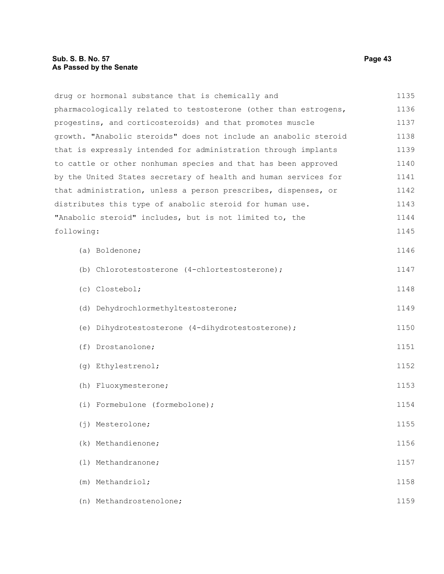drug or hormonal substance that is chemically and pharmacologically related to testosterone (other than estrogens, progestins, and corticosteroids) and that promotes muscle growth. "Anabolic steroids" does not include an anabolic steroid that is expressly intended for administration through implants to cattle or other nonhuman species and that has been approved by the United States secretary of health and human services for that administration, unless a person prescribes, dispenses, or distributes this type of anabolic steroid for human use. "Anabolic steroid" includes, but is not limited to, the following: (a) Boldenone; (b) Chlorotestosterone (4-chlortestosterone); (c) Clostebol; (d) Dehydrochlormethyltestosterone; (e) Dihydrotestosterone (4-dihydrotestosterone); (f) Drostanolone; (g) Ethylestrenol; (h) Fluoxymesterone; (i) Formebulone (formebolone); (j) Mesterolone; (k) Methandienone; (l) Methandranone; (m) Methandriol; (n) Methandrostenolone; 1135 1136 1137 1138 1139 1140 1141 1142 1143 1144 1145 1146 1147 1148 1149 1150 1151 1152 1153 1154 1155 1156 1157 1158 1159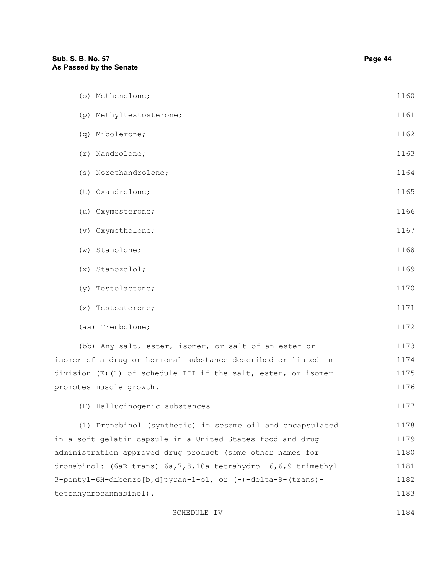| Sub. S. B. No. 57<br>As Passed by the Senate                         | Page 44 |
|----------------------------------------------------------------------|---------|
| (o) Methenolone;                                                     | 1160    |
| (p) Methyltestosterone;                                              | 1161    |
| (q) Mibolerone;                                                      | 1162    |
| $(r)$ Nandrolone;                                                    | 1163    |
| (s) Norethandrolone;                                                 | 1164    |
| (t) Oxandrolone;                                                     | 1165    |
| (u) Oxymesterone;                                                    | 1166    |
| (v) Oxymetholone;                                                    | 1167    |
| $(w)$ Stanolone;                                                     | 1168    |
| $(x)$ Stanozolol;                                                    | 1169    |
| (y) Testolactone;                                                    | 1170    |
| (z) Testosterone;                                                    | 1171    |
| (aa) Trenbolone;                                                     | 1172    |
| (bb) Any salt, ester, isomer, or salt of an ester or                 | 1173    |
| isomer of a drug or hormonal substance described or listed in        | 1174    |
| division (E)(1) of schedule III if the salt, ester, or isomer        | 1175    |
| promotes muscle growth.                                              | 1176    |
| (F) Hallucinogenic substances                                        | 1177    |
| (1) Dronabinol (synthetic) in sesame oil and encapsulated            | 1178    |
| in a soft gelatin capsule in a United States food and drug           | 1179    |
| administration approved drug product (some other names for           | 1180    |
| dronabinol: (6aR-trans)-6a, 7, 8, 10a-tetrahydro- 6, 6, 9-trimethyl- | 1181    |
| 3-pentyl-6H-dibenzo[b,d]pyran-1-ol, or (-)-delta-9-(trans)-          | 1182    |
| tetrahydrocannabinol).                                               | 1183    |

SCHEDULE IV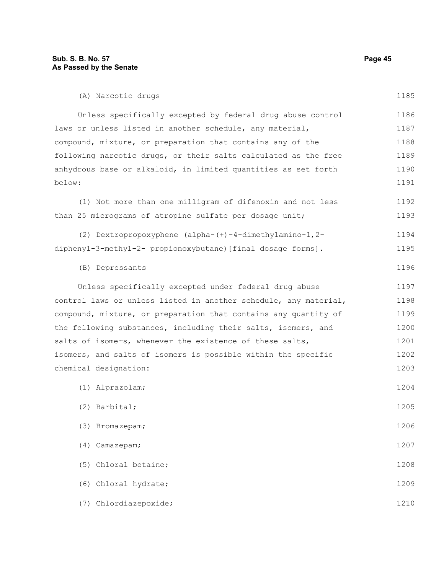| (A) Narcotic drugs                                               | 1185 |
|------------------------------------------------------------------|------|
| Unless specifically excepted by federal drug abuse control       | 1186 |
| laws or unless listed in another schedule, any material,         | 1187 |
| compound, mixture, or preparation that contains any of the       | 1188 |
| following narcotic drugs, or their salts calculated as the free  | 1189 |
| anhydrous base or alkaloid, in limited quantities as set forth   | 1190 |
| below:                                                           | 1191 |
| (1) Not more than one milligram of difenoxin and not less        | 1192 |
| than 25 micrograms of atropine sulfate per dosage unit;          | 1193 |
| (2) Dextropropoxyphene (alpha-(+)-4-dimethylamino-1, 2-          | 1194 |
| diphenyl-3-methyl-2- propionoxybutane) [final dosage forms].     | 1195 |
| (B) Depressants                                                  | 1196 |
| Unless specifically excepted under federal drug abuse            | 1197 |
| control laws or unless listed in another schedule, any material, | 1198 |
| compound, mixture, or preparation that contains any quantity of  | 1199 |
| the following substances, including their salts, isomers, and    | 1200 |
| salts of isomers, whenever the existence of these salts,         | 1201 |
| isomers, and salts of isomers is possible within the specific    | 1202 |
| chemical designation:                                            | 1203 |
| (1) Alprazolam;                                                  | 1204 |
| (2) Barbital;                                                    | 1205 |
| (3) Bromazepam;                                                  | 1206 |
| Camazepam;<br>(4)                                                | 1207 |
| Chloral betaine;<br>(5)                                          | 1208 |
| (6) Chloral hydrate;                                             | 1209 |
| Chlordiazepoxide;<br>(7)                                         | 1210 |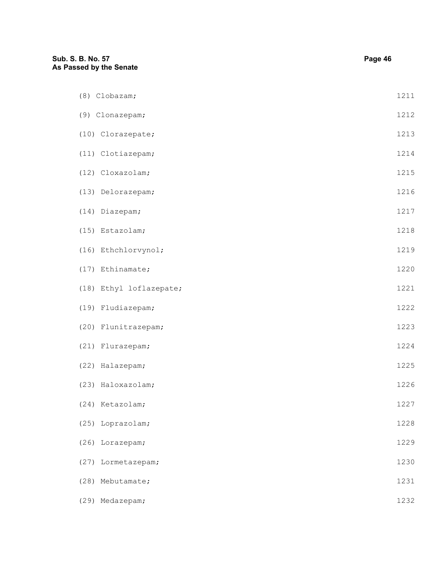# **Sub. S. B. No. 57 Page 46 As Passed by the Senate** (8) Clobazam; (9) Clonazepam; (10) Clorazepate; (11) Clotiazepam; (12) Cloxazolam; (13) Delorazepam; (14) Diazepam; (15) Estazolam; (16) Ethchlorvynol; (17) Ethinamate; (18) Ethyl loflazepate; (19) Fludiazepam; (20) Flunitrazepam; (21) Flurazepam; (22) Halazepam; (23) Haloxazolam; (24) Ketazolam; (25) Loprazolam; (26) Lorazepam; (27) Lormetazepam; (28) Mebutamate; (29) Medazepam; 1211 1212 1213 1214 1215 1216 1217 1218 1219 1220 1221 1222 1223 1224 1225 1226 1227 1228 1229 1230 1231 1232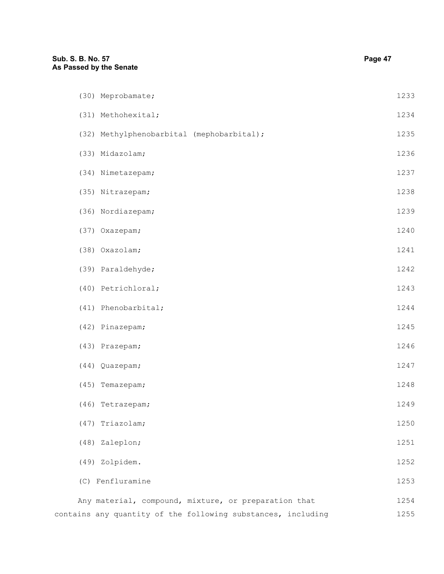| (30) Meprobamate;                                            | 1233 |
|--------------------------------------------------------------|------|
| (31) Methohexital;                                           | 1234 |
| (32) Methylphenobarbital (mephobarbital);                    | 1235 |
| (33) Midazolam;                                              | 1236 |
| (34) Nimetazepam;                                            | 1237 |
| (35) Nitrazepam;                                             | 1238 |
| (36) Nordiazepam;                                            | 1239 |
| (37) Oxazepam;                                               | 1240 |
| (38) Oxazolam;                                               | 1241 |
| (39) Paraldehyde;                                            | 1242 |
| (40) Petrichloral;                                           | 1243 |
| (41) Phenobarbital;                                          | 1244 |
| (42) Pinazepam;                                              | 1245 |
| (43) Prazepam;                                               | 1246 |
| (44) Quazepam;                                               | 1247 |
| (45) Temazepam;                                              | 1248 |
| (46) Tetrazepam;                                             | 1249 |
| (47) Triazolam;                                              | 1250 |
| (48) Zaleplon;                                               | 1251 |
| (49) Zolpidem.                                               | 1252 |
| (C) Fenfluramine                                             | 1253 |
| Any material, compound, mixture, or preparation that         | 1254 |
| contains any quantity of the following substances, including | 1255 |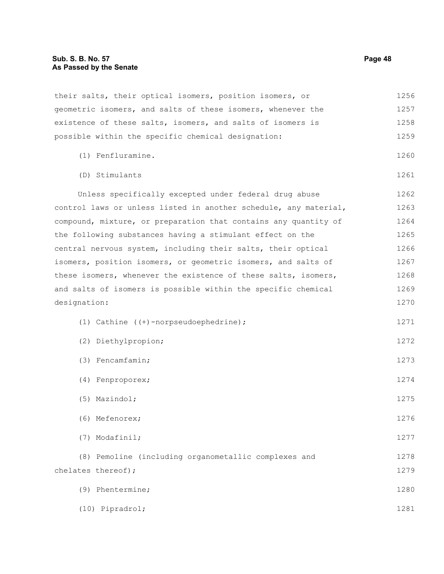their salts, their optical isomers, position isomers, or geometric isomers, and salts of these isomers, whenever the existence of these salts, isomers, and salts of isomers is possible within the specific chemical designation: (1) Fenfluramine. (D) Stimulants Unless specifically excepted under federal drug abuse control laws or unless listed in another schedule, any material, compound, mixture, or preparation that contains any quantity of the following substances having a stimulant effect on the central nervous system, including their salts, their optical isomers, position isomers, or geometric isomers, and salts of these isomers, whenever the existence of these salts, isomers, and salts of isomers is possible within the specific chemical designation: (1) Cathine ((+)-norpseudoephedrine); (2) Diethylpropion; (3) Fencamfamin; (4) Fenproporex; (5) Mazindol; (6) Mefenorex; (7) Modafinil; (8) Pemoline (including organometallic complexes and chelates thereof); (9) Phentermine; (10) Pipradrol; 1256 1257 1258 1259 1260 1261 1262 1263 1264 1265 1266 1267 1268 1269 1270 1271 1272 1273 1274 1275 1276 1277 1278 1279 1280 1281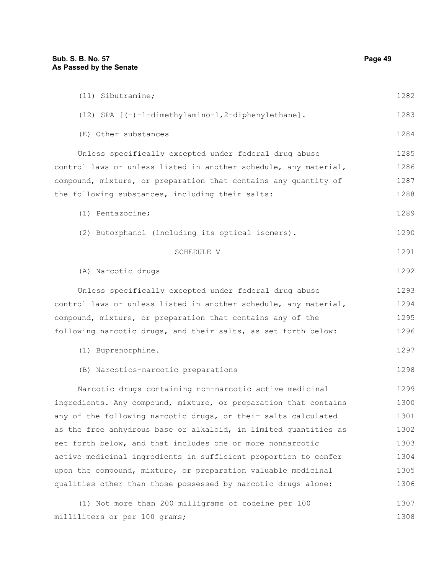| (11) Sibutramine;                                                | 1282 |
|------------------------------------------------------------------|------|
| (12) SPA [(-)-1-dimethylamino-1,2-diphenylethane].               | 1283 |
| (E) Other substances                                             | 1284 |
| Unless specifically excepted under federal drug abuse            | 1285 |
| control laws or unless listed in another schedule, any material, | 1286 |
| compound, mixture, or preparation that contains any quantity of  | 1287 |
| the following substances, including their salts:                 | 1288 |
| (1) Pentazocine;                                                 | 1289 |
| (2) Butorphanol (including its optical isomers).                 | 1290 |
| SCHEDULE V                                                       | 1291 |
| (A) Narcotic drugs                                               | 1292 |
| Unless specifically excepted under federal drug abuse            | 1293 |
| control laws or unless listed in another schedule, any material, | 1294 |
| compound, mixture, or preparation that contains any of the       | 1295 |
| following narcotic drugs, and their salts, as set forth below:   | 1296 |
| (1) Buprenorphine.                                               | 1297 |
| (B) Narcotics-narcotic preparations                              | 1298 |
| Narcotic drugs containing non-narcotic active medicinal          | 1299 |
| ingredients. Any compound, mixture, or preparation that contains | 1300 |
| any of the following narcotic drugs, or their salts calculated   | 1301 |
| as the free anhydrous base or alkaloid, in limited quantities as | 1302 |
| set forth below, and that includes one or more nonnarcotic       | 1303 |
| active medicinal ingredients in sufficient proportion to confer  | 1304 |
| upon the compound, mixture, or preparation valuable medicinal    | 1305 |
| qualities other than those possessed by narcotic drugs alone:    | 1306 |
| (1) Not more than 200 milligrams of codeine per 100              | 1307 |
| milliliters or per 100 grams;                                    | 1308 |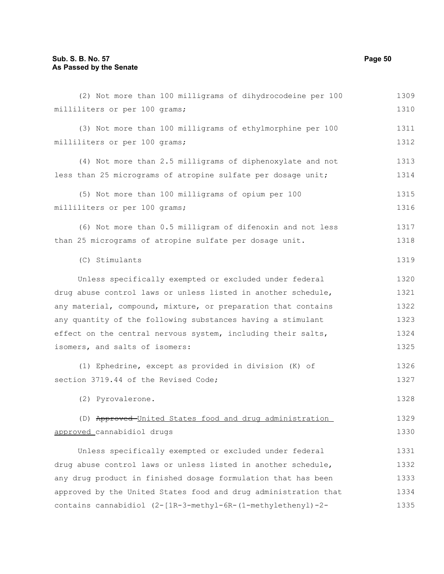| (2) Not more than 100 milligrams of dihydrocodeine per 100      | 1309 |
|-----------------------------------------------------------------|------|
| milliliters or per 100 grams;                                   | 1310 |
| (3) Not more than 100 milligrams of ethylmorphine per 100       | 1311 |
| milliliters or per 100 grams;                                   | 1312 |
| (4) Not more than 2.5 milligrams of diphenoxylate and not       | 1313 |
| less than 25 micrograms of atropine sulfate per dosage unit;    | 1314 |
| (5) Not more than 100 milligrams of opium per 100               | 1315 |
| milliliters or per 100 grams;                                   | 1316 |
| (6) Not more than 0.5 milligram of difenoxin and not less       | 1317 |
| than 25 micrograms of atropine sulfate per dosage unit.         | 1318 |
| (C) Stimulants                                                  | 1319 |
| Unless specifically exempted or excluded under federal          | 1320 |
| drug abuse control laws or unless listed in another schedule,   | 1321 |
| any material, compound, mixture, or preparation that contains   | 1322 |
| any quantity of the following substances having a stimulant     | 1323 |
| effect on the central nervous system, including their salts,    | 1324 |
| isomers, and salts of isomers:                                  | 1325 |
| (1) Ephedrine, except as provided in division (K) of            | 1326 |
| section 3719.44 of the Revised Code;                            | 1327 |
| (2) Pyrovalerone.                                               | 1328 |
| (D) Approved-United States food and drug administration         | 1329 |
| approved cannabidiol drugs                                      | 1330 |
| Unless specifically exempted or excluded under federal          | 1331 |
| drug abuse control laws or unless listed in another schedule,   | 1332 |
| any drug product in finished dosage formulation that has been   | 1333 |
| approved by the United States food and drug administration that | 1334 |
| contains cannabidiol (2-[1R-3-methyl-6R-(1-methylethenyl)-2-    | 1335 |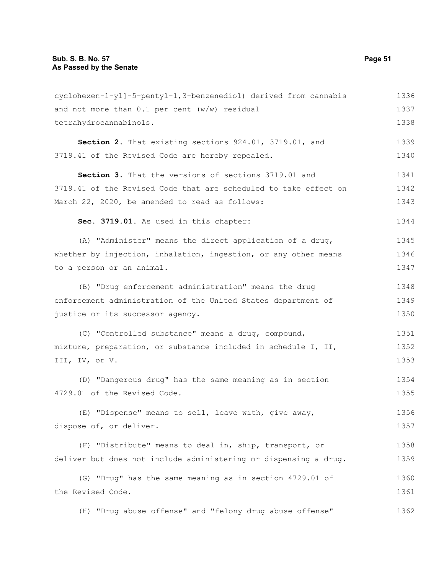| cyclohexen-1-yl]-5-pentyl-1,3-benzenediol) derived from cannabis | 1336 |
|------------------------------------------------------------------|------|
| and not more than $0.1$ per cent ( $w/w$ ) residual              | 1337 |
| tetrahydrocannabinols.                                           | 1338 |
| Section 2. That existing sections 924.01, 3719.01, and           | 1339 |
| 3719.41 of the Revised Code are hereby repealed.                 | 1340 |
| Section 3. That the versions of sections 3719.01 and             | 1341 |
| 3719.41 of the Revised Code that are scheduled to take effect on | 1342 |
| March 22, 2020, be amended to read as follows:                   | 1343 |
| Sec. 3719.01. As used in this chapter:                           | 1344 |
| (A) "Administer" means the direct application of a drug,         | 1345 |
| whether by injection, inhalation, ingestion, or any other means  | 1346 |
| to a person or an animal.                                        | 1347 |
| (B) "Drug enforcement administration" means the drug             | 1348 |
| enforcement administration of the United States department of    | 1349 |
| justice or its successor agency.                                 | 1350 |
| (C) "Controlled substance" means a drug, compound,               | 1351 |
| mixture, preparation, or substance included in schedule I, II,   | 1352 |
| III, IV, or V.                                                   | 1353 |
| (D) "Dangerous drug" has the same meaning as in section          | 1354 |
| 4729.01 of the Revised Code.                                     | 1355 |
|                                                                  |      |
| (E) "Dispense" means to sell, leave with, give away,             | 1356 |
| dispose of, or deliver.                                          | 1357 |
| (F) "Distribute" means to deal in, ship, transport, or           | 1358 |
| deliver but does not include administering or dispensing a drug. | 1359 |
| (G) "Drug" has the same meaning as in section 4729.01 of         | 1360 |
| the Revised Code.                                                | 1361 |
| (H) "Drug abuse offense" and "felony drug abuse offense"         | 1362 |
|                                                                  |      |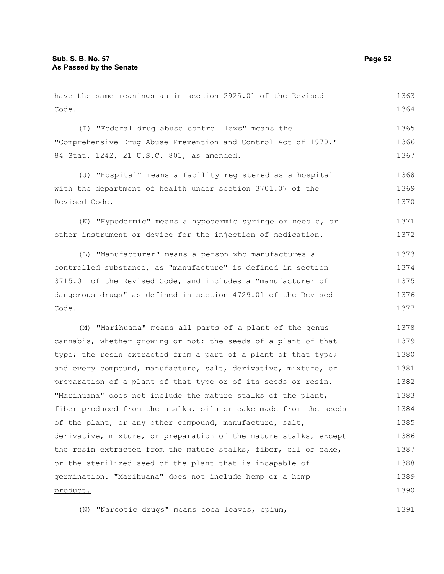Code. (I) "Federal drug abuse control laws" means the "Comprehensive Drug Abuse Prevention and Control Act of 1970," 84 Stat. 1242, 21 U.S.C. 801, as amended. (J) "Hospital" means a facility registered as a hospital with the department of health under section 3701.07 of the Revised Code. (K) "Hypodermic" means a hypodermic syringe or needle, or other instrument or device for the injection of medication. (L) "Manufacturer" means a person who manufactures a controlled substance, as "manufacture" is defined in section 3715.01 of the Revised Code, and includes a "manufacturer of dangerous drugs" as defined in section 4729.01 of the Revised Code. (M) "Marihuana" means all parts of a plant of the genus cannabis, whether growing or not; the seeds of a plant of that type; the resin extracted from a part of a plant of that type; and every compound, manufacture, salt, derivative, mixture, or preparation of a plant of that type or of its seeds or resin. "Marihuana" does not include the mature stalks of the plant, fiber produced from the stalks, oils or cake made from the seeds of the plant, or any other compound, manufacture, salt, derivative, mixture, or preparation of the mature stalks, except the resin extracted from the mature stalks, fiber, oil or cake, or the sterilized seed of the plant that is incapable of germination. "Marihuana" does not include hemp or a hemp product. 1364 1365 1366 1367 1368 1369 1370 1371 1372 1373 1374 1375 1376 1377 1378 1379 1380 1381 1382 1383 1384 1385 1386 1387 1388 1389 1390

have the same meanings as in section 2925.01 of the Revised

(N) "Narcotic drugs" means coca leaves, opium, 1391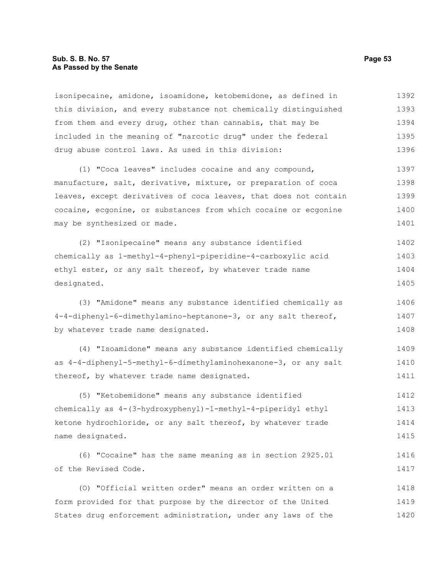#### **Sub. S. B. No. 57 Page 53 As Passed by the Senate**

isonipecaine, amidone, isoamidone, ketobemidone, as defined in this division, and every substance not chemically distinguished from them and every drug, other than cannabis, that may be included in the meaning of "narcotic drug" under the federal drug abuse control laws. As used in this division: 1392 1393 1394 1395 1396

(1) "Coca leaves" includes cocaine and any compound, manufacture, salt, derivative, mixture, or preparation of coca leaves, except derivatives of coca leaves, that does not contain cocaine, ecgonine, or substances from which cocaine or ecgonine may be synthesized or made. 1397 1398 1399 1400 1401

(2) "Isonipecaine" means any substance identified chemically as 1-methyl-4-phenyl-piperidine-4-carboxylic acid ethyl ester, or any salt thereof, by whatever trade name designated. 1402 1403 1404 1405

(3) "Amidone" means any substance identified chemically as 4-4-diphenyl-6-dimethylamino-heptanone-3, or any salt thereof, by whatever trade name designated. 1406 1407 1408

(4) "Isoamidone" means any substance identified chemically as 4-4-diphenyl-5-methyl-6-dimethylaminohexanone-3, or any salt thereof, by whatever trade name designated. 1409 1410 1411

(5) "Ketobemidone" means any substance identified chemically as 4-(3-hydroxyphenyl)-1-methyl-4-piperidyl ethyl ketone hydrochloride, or any salt thereof, by whatever trade name designated. 1412 1413 1414 1415

(6) "Cocaine" has the same meaning as in section 2925.01 of the Revised Code. 1416 1417

(O) "Official written order" means an order written on a form provided for that purpose by the director of the United States drug enforcement administration, under any laws of the 1418 1419 1420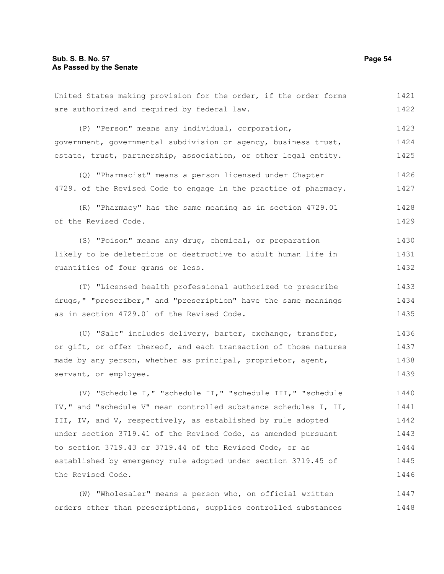United States making provision for the order, if the order forms are authorized and required by federal law. (P) "Person" means any individual, corporation, 1421 1422 1423

government, governmental subdivision or agency, business trust, estate, trust, partnership, association, or other legal entity. 1424 1425

(Q) "Pharmacist" means a person licensed under Chapter 4729. of the Revised Code to engage in the practice of pharmacy. 1426 1427

(R) "Pharmacy" has the same meaning as in section 4729.01 of the Revised Code. 1428 1429

(S) "Poison" means any drug, chemical, or preparation likely to be deleterious or destructive to adult human life in quantities of four grams or less. 1430 1431 1432

(T) "Licensed health professional authorized to prescribe drugs," "prescriber," and "prescription" have the same meanings as in section 4729.01 of the Revised Code. 1433 1434 1435

(U) "Sale" includes delivery, barter, exchange, transfer, or gift, or offer thereof, and each transaction of those natures made by any person, whether as principal, proprietor, agent, servant, or employee. 1436 1437 1438 1439

(V) "Schedule I," "schedule II," "schedule III," "schedule IV," and "schedule V" mean controlled substance schedules I, II, III, IV, and V, respectively, as established by rule adopted under section 3719.41 of the Revised Code, as amended pursuant to section 3719.43 or 3719.44 of the Revised Code, or as established by emergency rule adopted under section 3719.45 of the Revised Code. 1440 1441 1442 1443 1444 1445 1446

(W) "Wholesaler" means a person who, on official written orders other than prescriptions, supplies controlled substances 1447 1448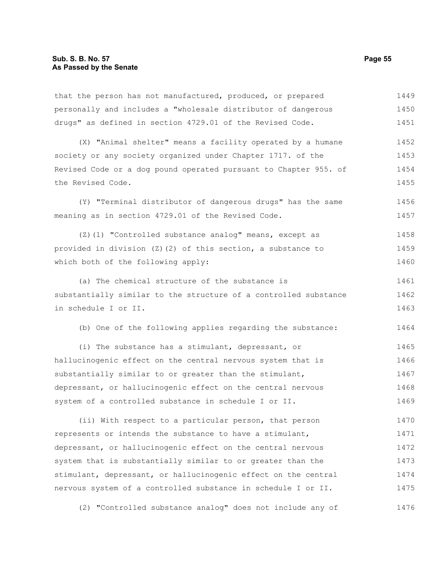that the person has not manufactured, produced, or prepared personally and includes a "wholesale distributor of dangerous drugs" as defined in section 4729.01 of the Revised Code. 1449 1450 1451

(X) "Animal shelter" means a facility operated by a humane society or any society organized under Chapter 1717. of the Revised Code or a dog pound operated pursuant to Chapter 955. of the Revised Code. 1452 1453 1454 1455

(Y) "Terminal distributor of dangerous drugs" has the same meaning as in section 4729.01 of the Revised Code. 1456 1457

(Z)(1) "Controlled substance analog" means, except as provided in division (Z)(2) of this section, a substance to which both of the following apply: 1458 1459 1460

(a) The chemical structure of the substance is substantially similar to the structure of a controlled substance in schedule I or II. 1461 1462 1463

(b) One of the following applies regarding the substance: 1464

(i) The substance has a stimulant, depressant, or hallucinogenic effect on the central nervous system that is substantially similar to or greater than the stimulant, depressant, or hallucinogenic effect on the central nervous system of a controlled substance in schedule I or II. 1465 1466 1467 1468 1469

(ii) With respect to a particular person, that person represents or intends the substance to have a stimulant, depressant, or hallucinogenic effect on the central nervous system that is substantially similar to or greater than the stimulant, depressant, or hallucinogenic effect on the central nervous system of a controlled substance in schedule I or II. 1470 1471 1472 1473 1474 1475

(2) "Controlled substance analog" does not include any of 1476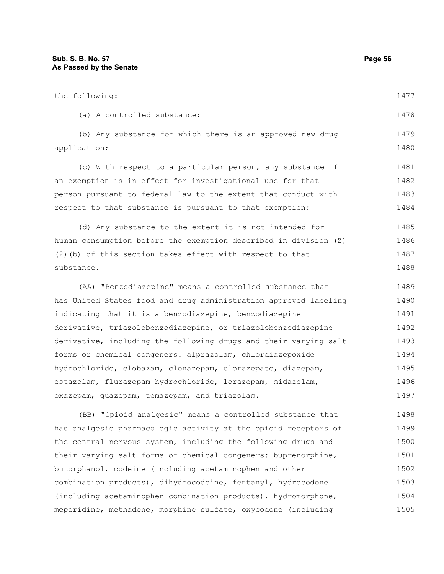| the following:                                                   | 1477 |
|------------------------------------------------------------------|------|
| (a) A controlled substance;                                      | 1478 |
| (b) Any substance for which there is an approved new drug        | 1479 |
| application;                                                     | 1480 |
| (c) With respect to a particular person, any substance if        | 1481 |
| an exemption is in effect for investigational use for that       | 1482 |
| person pursuant to federal law to the extent that conduct with   | 1483 |
| respect to that substance is pursuant to that exemption;         | 1484 |
| (d) Any substance to the extent it is not intended for           | 1485 |
| human consumption before the exemption described in division (Z) | 1486 |
| (2) (b) of this section takes effect with respect to that        | 1487 |
| substance.                                                       | 1488 |
| (AA) "Benzodiazepine" means a controlled substance that          | 1489 |
| has United States food and drug administration approved labeling | 1490 |
| indicating that it is a benzodiazepine, benzodiazepine           | 1491 |
| derivative, triazolobenzodiazepine, or triazolobenzodiazepine    | 1492 |
| derivative, including the following drugs and their varying salt | 1493 |
| forms or chemical congeners: alprazolam, chlordiazepoxide        | 1494 |
| hydrochloride, clobazam, clonazepam, clorazepate, diazepam,      | 1495 |

estazolam, flurazepam hydrochloride, lorazepam, midazolam, oxazepam, quazepam, temazepam, and triazolam. 1496 1497

(BB) "Opioid analgesic" means a controlled substance that has analgesic pharmacologic activity at the opioid receptors of the central nervous system, including the following drugs and their varying salt forms or chemical congeners: buprenorphine, butorphanol, codeine (including acetaminophen and other combination products), dihydrocodeine, fentanyl, hydrocodone (including acetaminophen combination products), hydromorphone, meperidine, methadone, morphine sulfate, oxycodone (including 1498 1499 1500 1501 1502 1503 1504 1505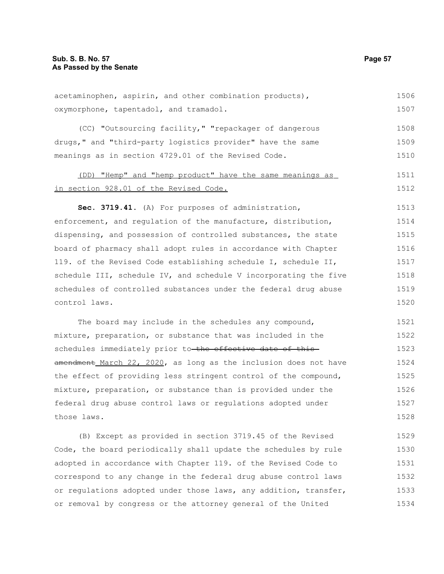| acetaminophen, aspirin, and other combination products),         | 1506 |
|------------------------------------------------------------------|------|
| oxymorphone, tapentadol, and tramadol.                           | 1507 |
| (CC) "Outsourcing facility," "repackager of dangerous            | 1508 |
| drugs," and "third-party logistics provider" have the same       | 1509 |
| meanings as in section 4729.01 of the Revised Code.              | 1510 |
| (DD) "Hemp" and "hemp product" have the same meanings as         | 1511 |
| in section 928.01 of the Revised Code.                           | 1512 |
| Sec. 3719.41. (A) For purposes of administration,                | 1513 |
| enforcement, and regulation of the manufacture, distribution,    | 1514 |
| dispensing, and possession of controlled substances, the state   | 1515 |
| board of pharmacy shall adopt rules in accordance with Chapter   | 1516 |
| 119. of the Revised Code establishing schedule I, schedule II,   | 1517 |
| schedule III, schedule IV, and schedule V incorporating the five | 1518 |
| schedules of controlled substances under the federal drug abuse  | 1519 |
| control laws.                                                    | 1520 |
| The board may include in the schedules any compound,             | 1521 |
| mixture, preparation, or substance that was included in the      | 1522 |
| schedules immediately prior to the effective date of this        | 1523 |
| amendment March 22, 2020, as long as the inclusion does not have | 1524 |
| the effect of providing less stringent control of the compound,  | 1525 |
| mixture, preparation, or substance than is provided under the    | 1526 |
| federal drug abuse control laws or regulations adopted under     | 1527 |
| those laws.                                                      | 1528 |
| (B) Except as provided in section 3719.45 of the Revised         | 1529 |
| Code, the board periodically shall update the schedules by rule  | 1530 |
| adopted in accordance with Chapter 119. of the Revised Code to   | 1531 |
| correspond to any change in the federal drug abuse control laws  | 1532 |

or regulations adopted under those laws, any addition, transfer, or removal by congress or the attorney general of the United 1533 1534